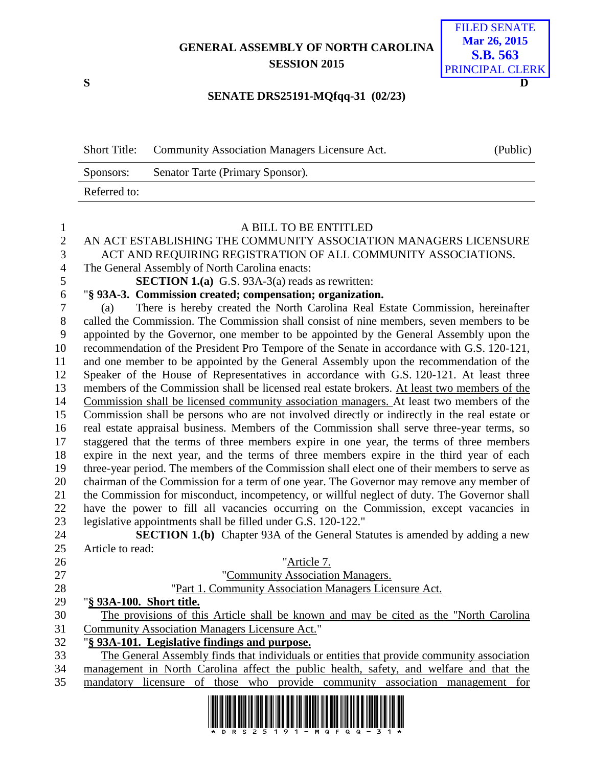## **GENERAL ASSEMBLY OF NORTH CAROLINA SESSION 2015**



## **SENATE DRS25191-MQfqq-31 (02/23)**

|              | Short Title: Community Association Managers Licensure Act. | (Public) |
|--------------|------------------------------------------------------------|----------|
| Sponsors:    | Senator Tarte (Primary Sponsor).                           |          |
| Referred to: |                                                            |          |

| $\mathbf{1}$   | A BILL TO BE ENTITLED                                                                         |
|----------------|-----------------------------------------------------------------------------------------------|
| $\overline{2}$ | AN ACT ESTABLISHING THE COMMUNITY ASSOCIATION MANAGERS LICENSURE                              |
| 3              | ACT AND REQUIRING REGISTRATION OF ALL COMMUNITY ASSOCIATIONS.                                 |
| $\overline{4}$ | The General Assembly of North Carolina enacts:                                                |
| 5              | <b>SECTION 1.(a)</b> G.S. 93A-3(a) reads as rewritten:                                        |
| 6              | "§ 93A-3. Commission created; compensation; organization.                                     |
| $\overline{7}$ | There is hereby created the North Carolina Real Estate Commission, hereinafter<br>(a)         |
| 8              | called the Commission. The Commission shall consist of nine members, seven members to be      |
| 9              | appointed by the Governor, one member to be appointed by the General Assembly upon the        |
| 10             | recommendation of the President Pro Tempore of the Senate in accordance with G.S. 120-121,    |
| 11             | and one member to be appointed by the General Assembly upon the recommendation of the         |
| 12             | Speaker of the House of Representatives in accordance with G.S. 120-121. At least three       |
| 13             | members of the Commission shall be licensed real estate brokers. At least two members of the  |
| 14             | Commission shall be licensed community association managers. At least two members of the      |
| 15             | Commission shall be persons who are not involved directly or indirectly in the real estate or |
| 16             | real estate appraisal business. Members of the Commission shall serve three-year terms, so    |
| 17             | staggered that the terms of three members expire in one year, the terms of three members      |
| 18             | expire in the next year, and the terms of three members expire in the third year of each      |
| 19             | three-year period. The members of the Commission shall elect one of their members to serve as |
| 20             | chairman of the Commission for a term of one year. The Governor may remove any member of      |
| 21             | the Commission for misconduct, incompetency, or willful neglect of duty. The Governor shall   |
| 22             | have the power to fill all vacancies occurring on the Commission, except vacancies in         |
| 23             | legislative appointments shall be filled under G.S. 120-122."                                 |
| 24             | <b>SECTION 1.(b)</b> Chapter 93A of the General Statutes is amended by adding a new           |
| 25             | Article to read:                                                                              |
| 26             | "Article 7.                                                                                   |
| 27             | "Community Association Managers.                                                              |
| 28             | "Part 1. Community Association Managers Licensure Act.                                        |
| 29             | "§ 93A-100. Short title.                                                                      |
| 30             | The provisions of this Article shall be known and may be cited as the "North Carolina"        |
| 31             | <b>Community Association Managers Licensure Act."</b>                                         |
| 32             | "§ 93A-101. Legislative findings and purpose.                                                 |
| 33             | The General Assembly finds that individuals or entities that provide community association    |
| 34             | management in North Carolina affect the public health, safety, and welfare and that the       |
| 35             | mandatory licensure of those who provide community association management for                 |

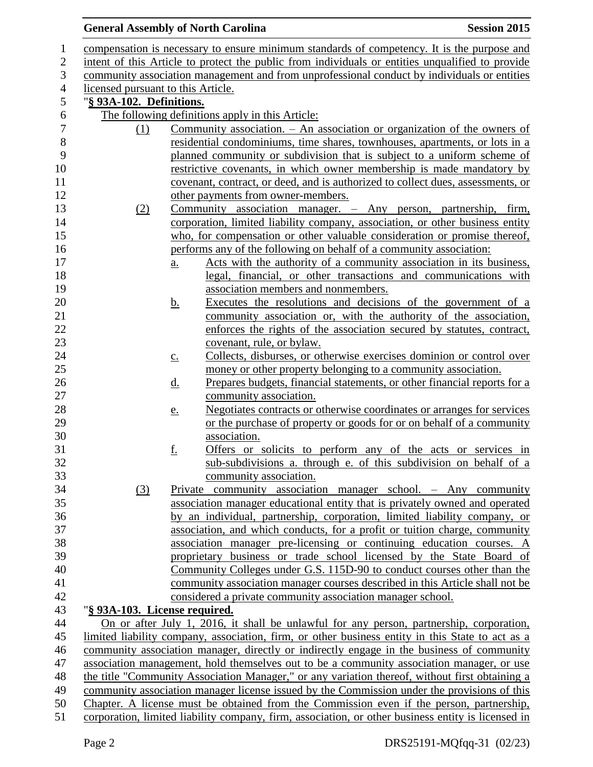## **General Assembly of North Carolina Session 2015**

| $\mathbf{1}$     |                                                                                                                                                                                         |                   | compensation is necessary to ensure minimum standards of competency. It is the purpose and       |  |
|------------------|-----------------------------------------------------------------------------------------------------------------------------------------------------------------------------------------|-------------------|--------------------------------------------------------------------------------------------------|--|
| $\mathbf{2}$     | intent of this Article to protect the public from individuals or entities unqualified to provide                                                                                        |                   |                                                                                                  |  |
| 3                | community association management and from unprofessional conduct by individuals or entities                                                                                             |                   |                                                                                                  |  |
| 4                | licensed pursuant to this Article.                                                                                                                                                      |                   |                                                                                                  |  |
| 5                | "§ 93A-102. Definitions.                                                                                                                                                                |                   |                                                                                                  |  |
| 6                |                                                                                                                                                                                         |                   | The following definitions apply in this Article:                                                 |  |
| $\boldsymbol{7}$ | (1)                                                                                                                                                                                     |                   | Community association. $-$ An association or organization of the owners of                       |  |
| 8                |                                                                                                                                                                                         |                   | residential condominiums, time shares, townhouses, apartments, or lots in a                      |  |
| 9                |                                                                                                                                                                                         |                   | planned community or subdivision that is subject to a uniform scheme of                          |  |
| 10               |                                                                                                                                                                                         |                   | restrictive covenants, in which owner membership is made mandatory by                            |  |
| 11               |                                                                                                                                                                                         |                   | covenant, contract, or deed, and is authorized to collect dues, assessments, or                  |  |
| 12               |                                                                                                                                                                                         |                   | other payments from owner-members.                                                               |  |
| 13               | (2)                                                                                                                                                                                     |                   | Community association manager. - Any person, partnership, firm,                                  |  |
| 14               |                                                                                                                                                                                         |                   | corporation, limited liability company, association, or other business entity                    |  |
| 15               |                                                                                                                                                                                         |                   | who, for compensation or other valuable consideration or promise thereof,                        |  |
| 16               |                                                                                                                                                                                         |                   | performs any of the following on behalf of a community association:                              |  |
| 17               |                                                                                                                                                                                         | a.                | Acts with the authority of a community association in its business,                              |  |
| 18               |                                                                                                                                                                                         |                   | legal, financial, or other transactions and communications with                                  |  |
| 19               |                                                                                                                                                                                         |                   | association members and nonmembers.                                                              |  |
| 20               |                                                                                                                                                                                         | <u>b.</u>         | Executes the resolutions and decisions of the government of a                                    |  |
| 21               |                                                                                                                                                                                         |                   | community association or, with the authority of the association,                                 |  |
| 22               |                                                                                                                                                                                         |                   | enforces the rights of the association secured by statutes, contract,                            |  |
| 23               |                                                                                                                                                                                         |                   | covenant, rule, or bylaw.                                                                        |  |
| 24               |                                                                                                                                                                                         | $\underline{c}$ . | Collects, disburses, or otherwise exercises dominion or control over                             |  |
| 25               |                                                                                                                                                                                         |                   | money or other property belonging to a community association.                                    |  |
| 26               |                                                                                                                                                                                         | <u>d.</u>         | Prepares budgets, financial statements, or other financial reports for a                         |  |
| 27               |                                                                                                                                                                                         |                   | community association.                                                                           |  |
| 28               |                                                                                                                                                                                         | e.                | Negotiates contracts or otherwise coordinates or arranges for services                           |  |
| 29               |                                                                                                                                                                                         |                   | or the purchase of property or goods for or on behalf of a community                             |  |
| 30               |                                                                                                                                                                                         |                   | association.                                                                                     |  |
| 31               |                                                                                                                                                                                         | <u>f.</u>         | Offers or solicits to perform any of the acts or services in                                     |  |
| 32               |                                                                                                                                                                                         |                   | sub-subdivisions a. through e. of this subdivision on behalf of a                                |  |
| 33               |                                                                                                                                                                                         |                   | community association.                                                                           |  |
| 34               | (3)                                                                                                                                                                                     |                   | Private community association manager school. - Any community                                    |  |
| 35               |                                                                                                                                                                                         |                   | association manager educational entity that is privately owned and operated                      |  |
| 36               |                                                                                                                                                                                         |                   | by an individual, partnership, corporation, limited liability company, or                        |  |
| 37               |                                                                                                                                                                                         |                   | association, and which conducts, for a profit or tuition charge, community                       |  |
| 38               |                                                                                                                                                                                         |                   | association manager pre-licensing or continuing education courses. A                             |  |
| 39               |                                                                                                                                                                                         |                   | proprietary business or trade school licensed by the State Board of                              |  |
| 40               |                                                                                                                                                                                         |                   | Community Colleges under G.S. 115D-90 to conduct courses other than the                          |  |
| 41               |                                                                                                                                                                                         |                   | community association manager courses described in this Article shall not be                     |  |
| 42               |                                                                                                                                                                                         |                   | considered a private community association manager school.                                       |  |
| 43               | "§ 93A-103. License required.                                                                                                                                                           |                   |                                                                                                  |  |
| 44               |                                                                                                                                                                                         |                   | On or after July 1, 2016, it shall be unlawful for any person, partnership, corporation,         |  |
| 45               |                                                                                                                                                                                         |                   | limited liability company, association, firm, or other business entity in this State to act as a |  |
| 46               |                                                                                                                                                                                         |                   | community association manager, directly or indirectly engage in the business of community        |  |
| 47               |                                                                                                                                                                                         |                   | association management, hold themselves out to be a community association manager, or use        |  |
| 48               |                                                                                                                                                                                         |                   | the title "Community Association Manager," or any variation thereof, without first obtaining a   |  |
| 49<br>50         | community association manager license issued by the Commission under the provisions of this<br>Chapter. A license must be obtained from the Commission even if the person, partnership, |                   |                                                                                                  |  |
| 51               | corporation, limited liability company, firm, association, or other business entity is licensed in                                                                                      |                   |                                                                                                  |  |
|                  |                                                                                                                                                                                         |                   |                                                                                                  |  |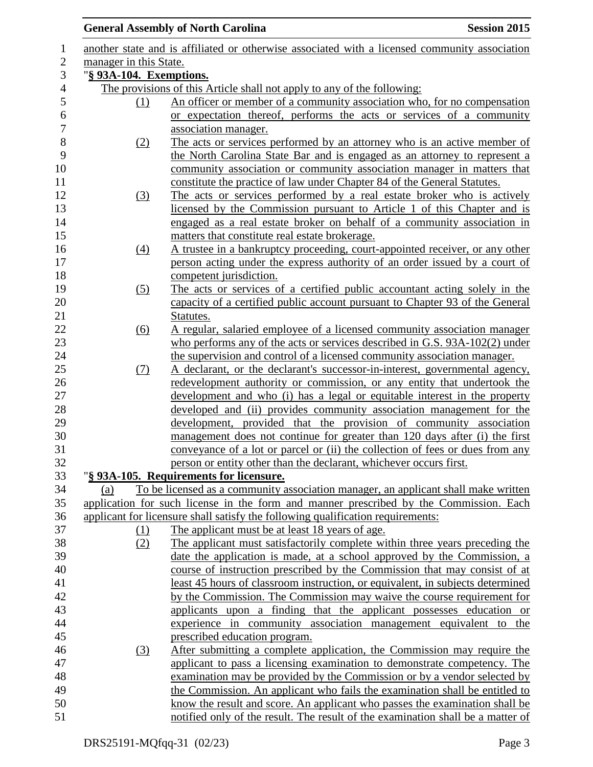|                         | <b>Session 2015</b><br><b>General Assembly of North Carolina</b>                              |
|-------------------------|-----------------------------------------------------------------------------------------------|
|                         | another state and is affiliated or otherwise associated with a licensed community association |
| manager in this State.  |                                                                                               |
| "§ 93A-104. Exemptions. |                                                                                               |
|                         | The provisions of this Article shall not apply to any of the following:                       |
| (1)                     | An officer or member of a community association who, for no compensation                      |
|                         | or expectation thereof, performs the acts or services of a community                          |
|                         | association manager.                                                                          |
| (2)                     | The acts or services performed by an attorney who is an active member of                      |
|                         | the North Carolina State Bar and is engaged as an attorney to represent a                     |
|                         | community association or community association manager in matters that                        |
|                         | constitute the practice of law under Chapter 84 of the General Statutes.                      |
| (3)                     | The acts or services performed by a real estate broker who is actively                        |
|                         | licensed by the Commission pursuant to Article 1 of this Chapter and is                       |
|                         | engaged as a real estate broker on behalf of a community association in                       |
|                         | matters that constitute real estate brokerage.                                                |
| $\left(4\right)$        | A trustee in a bankruptcy proceeding, court-appointed receiver, or any other                  |
|                         | person acting under the express authority of an order issued by a court of                    |
|                         | competent jurisdiction.                                                                       |
| (5)                     | The acts or services of a certified public accountant acting solely in the                    |
|                         | capacity of a certified public account pursuant to Chapter 93 of the General                  |
|                         | Statutes.                                                                                     |
| $\underline{(6)}$       | A regular, salaried employee of a licensed community association manager                      |
|                         | who performs any of the acts or services described in G.S. 93A-102(2) under                   |
|                         | the supervision and control of a licensed community association manager.                      |
| <u>(7)</u>              | A declarant, or the declarant's successor-in-interest, governmental agency,                   |
|                         | redevelopment authority or commission, or any entity that undertook the                       |
|                         | development and who (i) has a legal or equitable interest in the property                     |
|                         | developed and (ii) provides community association management for the                          |
|                         | development, provided that the provision of community association                             |
|                         | management does not continue for greater than 120 days after (i) the first                    |
|                         | conveyance of a lot or parcel or (ii) the collection of fees or dues from any                 |
|                         | person or entity other than the declarant, whichever occurs first.                            |
|                         | "§ 93A-105. Requirements for licensure.                                                       |
| (a)                     | To be licensed as a community association manager, an applicant shall make written            |
|                         | application for such license in the form and manner prescribed by the Commission. Each        |
|                         | applicant for licensure shall satisfy the following qualification requirements:               |
| (1)                     | The applicant must be at least 18 years of age.                                               |
| (2)                     | The applicant must satisfactorily complete within three years preceding the                   |
|                         | date the application is made, at a school approved by the Commission, a                       |
|                         | course of instruction prescribed by the Commission that may consist of at                     |
|                         | least 45 hours of classroom instruction, or equivalent, in subjects determined                |
|                         | by the Commission. The Commission may waive the course requirement for                        |
|                         | applicants upon a finding that the applicant possesses education or                           |
|                         | experience in community association management equivalent to the                              |
|                         | prescribed education program.                                                                 |
| (3)                     | After submitting a complete application, the Commission may require the                       |
|                         | applicant to pass a licensing examination to demonstrate competency. The                      |
|                         | examination may be provided by the Commission or by a vendor selected by                      |
|                         | the Commission. An applicant who fails the examination shall be entitled to                   |
|                         | know the result and score. An applicant who passes the examination shall be                   |
|                         | notified only of the result. The result of the examination shall be a matter of               |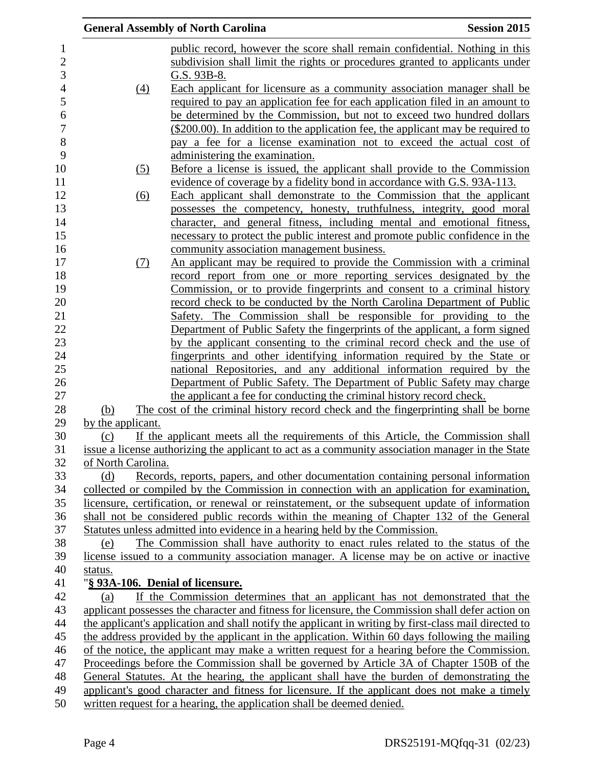|                                                                                                | <b>General Assembly of North Carolina</b>                                                             | <b>Session 2015</b> |
|------------------------------------------------------------------------------------------------|-------------------------------------------------------------------------------------------------------|---------------------|
|                                                                                                | public record, however the score shall remain confidential. Nothing in this                           |                     |
|                                                                                                | subdivision shall limit the rights or procedures granted to applicants under                          |                     |
|                                                                                                | G.S. 93B-8.                                                                                           |                     |
| (4)                                                                                            | Each applicant for licensure as a community association manager shall be                              |                     |
|                                                                                                | required to pay an application fee for each application filed in an amount to                         |                     |
|                                                                                                | be determined by the Commission, but not to exceed two hundred dollars                                |                     |
|                                                                                                | $(\$200.00)$ . In addition to the application fee, the applicant may be required to                   |                     |
|                                                                                                | pay a fee for a license examination not to exceed the actual cost of                                  |                     |
|                                                                                                | administering the examination.                                                                        |                     |
| <u>(5)</u>                                                                                     | Before a license is issued, the applicant shall provide to the Commission                             |                     |
|                                                                                                | evidence of coverage by a fidelity bond in accordance with G.S. 93A-113.                              |                     |
| $\underline{(6)}$                                                                              | Each applicant shall demonstrate to the Commission that the applicant                                 |                     |
|                                                                                                | possesses the competency, honesty, truthfulness, integrity, good moral                                |                     |
|                                                                                                | character, and general fitness, including mental and emotional fitness,                               |                     |
|                                                                                                | necessary to protect the public interest and promote public confidence in the                         |                     |
|                                                                                                | community association management business.                                                            |                     |
| <u>(7)</u>                                                                                     | An applicant may be required to provide the Commission with a criminal                                |                     |
|                                                                                                | record report from one or more reporting services designated by the                                   |                     |
|                                                                                                | Commission, or to provide fingerprints and consent to a criminal history                              |                     |
|                                                                                                | record check to be conducted by the North Carolina Department of Public                               |                     |
|                                                                                                | Safety. The Commission shall be responsible for providing to the                                      |                     |
|                                                                                                | Department of Public Safety the fingerprints of the applicant, a form signed                          |                     |
|                                                                                                | by the applicant consenting to the criminal record check and the use of                               |                     |
|                                                                                                | fingerprints and other identifying information required by the State or                               |                     |
|                                                                                                | national Repositories, and any additional information required by the                                 |                     |
|                                                                                                | Department of Public Safety. The Department of Public Safety may charge                               |                     |
|                                                                                                | the applicant a fee for conducting the criminal history record check.                                 |                     |
| (b)                                                                                            | The cost of the criminal history record check and the fingerprinting shall be borne                   |                     |
| by the applicant.                                                                              |                                                                                                       |                     |
| (c)                                                                                            | If the applicant meets all the requirements of this Article, the Commission shall                     |                     |
|                                                                                                | issue a license authorizing the applicant to act as a community association manager in the State      |                     |
| of North Carolina.                                                                             |                                                                                                       |                     |
| (d)                                                                                            | Records, reports, papers, and other documentation containing personal information                     |                     |
|                                                                                                | collected or compiled by the Commission in connection with an application for examination,            |                     |
|                                                                                                | licensure, certification, or renewal or reinstatement, or the subsequent update of information        |                     |
|                                                                                                | shall not be considered public records within the meaning of Chapter 132 of the General               |                     |
|                                                                                                | Statutes unless admitted into evidence in a hearing held by the Commission.                           |                     |
| (e)                                                                                            | The Commission shall have authority to enact rules related to the status of the                       |                     |
|                                                                                                | license issued to a community association manager. A license may be on active or inactive             |                     |
| status.                                                                                        |                                                                                                       |                     |
|                                                                                                | "§ 93A-106. Denial of licensure.                                                                      |                     |
| (a)                                                                                            | If the Commission determines that an applicant has not demonstrated that the                          |                     |
|                                                                                                | applicant possesses the character and fitness for licensure, the Commission shall defer action on     |                     |
|                                                                                                | the applicant's application and shall notify the applicant in writing by first-class mail directed to |                     |
| the address provided by the applicant in the application. Within 60 days following the mailing |                                                                                                       |                     |
|                                                                                                | of the notice, the applicant may make a written request for a hearing before the Commission.          |                     |
|                                                                                                | Proceedings before the Commission shall be governed by Article 3A of Chapter 150B of the              |                     |
|                                                                                                | General Statutes. At the hearing, the applicant shall have the burden of demonstrating the            |                     |
|                                                                                                | applicant's good character and fitness for licensure. If the applicant does not make a timely         |                     |
|                                                                                                | written request for a hearing, the application shall be deemed denied.                                |                     |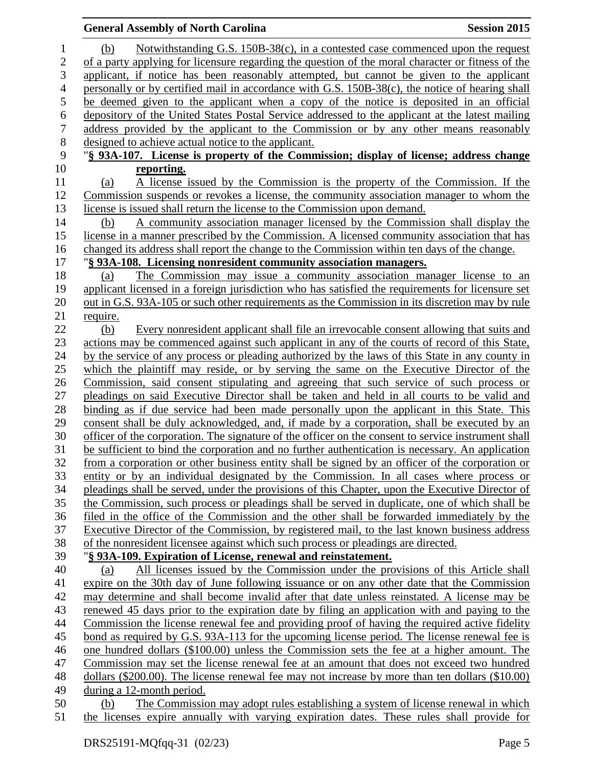|                | <b>General Assembly of North Carolina</b>                                                           | <b>Session 2015</b> |
|----------------|-----------------------------------------------------------------------------------------------------|---------------------|
| 1              | Notwithstanding G.S. 150B-38(c), in a contested case commenced upon the request<br>(b)              |                     |
| $\overline{c}$ | of a party applying for licensure regarding the question of the moral character or fitness of the   |                     |
| 3              | applicant, if notice has been reasonably attempted, but cannot be given to the applicant            |                     |
| $\overline{4}$ | personally or by certified mail in accordance with G.S. 150B-38(c), the notice of hearing shall     |                     |
| $\mathfrak{S}$ | be deemed given to the applicant when a copy of the notice is deposited in an official              |                     |
| $\sqrt{6}$     | depository of the United States Postal Service addressed to the applicant at the latest mailing     |                     |
| $\tau$         | address provided by the applicant to the Commission or by any other means reasonably                |                     |
| $8\,$          | designed to achieve actual notice to the applicant.                                                 |                     |
| 9              | "§ 93A-107. License is property of the Commission; display of license; address change               |                     |
| 10             | reporting.                                                                                          |                     |
| 11             | A license issued by the Commission is the property of the Commission. If the<br>(a)                 |                     |
| 12             | Commission suspends or revokes a license, the community association manager to whom the             |                     |
| 13             | license is issued shall return the license to the Commission upon demand.                           |                     |
| 14             | A community association manager licensed by the Commission shall display the<br>(b)                 |                     |
| 15             | license in a manner prescribed by the Commission. A licensed community association that has         |                     |
| 16             | changed its address shall report the change to the Commission within ten days of the change.        |                     |
| 17             | "§ 93A-108. Licensing nonresident community association managers.                                   |                     |
| 18             | The Commission may issue a community association manager license to an<br>(a)                       |                     |
| 19             | applicant licensed in a foreign jurisdiction who has satisfied the requirements for licensure set   |                     |
| 20             | out in G.S. 93A-105 or such other requirements as the Commission in its discretion may by rule      |                     |
| 21             | require.                                                                                            |                     |
| 22             | Every nonresident applicant shall file an irrevocable consent allowing that suits and<br>(b)        |                     |
| 23             | actions may be commenced against such applicant in any of the courts of record of this State.       |                     |
| 24             | by the service of any process or pleading authorized by the laws of this State in any county in     |                     |
| 25             | which the plaintiff may reside, or by serving the same on the Executive Director of the             |                     |
| 26             | <u>Commission, said consent stipulating and agreeing that such service of such process or</u>       |                     |
| 27             | pleadings on said Executive Director shall be taken and held in all courts to be valid and          |                     |
| 28             | binding as if due service had been made personally upon the applicant in this State. This           |                     |
| 29             | consent shall be duly acknowledged, and, if made by a corporation, shall be executed by an          |                     |
| 30             | officer of the corporation. The signature of the officer on the consent to service instrument shall |                     |
| 31             | be sufficient to bind the corporation and no further authentication is necessary. An application    |                     |
| 32             | from a corporation or other business entity shall be signed by an officer of the corporation or     |                     |
| 33             | entity or by an individual designated by the Commission. In all cases where process or              |                     |
| 34             | pleadings shall be served, under the provisions of this Chapter, upon the Executive Director of     |                     |
| 35             | the Commission, such process or pleadings shall be served in duplicate, one of which shall be       |                     |
| 36             | filed in the office of the Commission and the other shall be forwarded immediately by the           |                     |
| 37             | Executive Director of the Commission, by registered mail, to the last known business address        |                     |
| 38             | of the nonresident licensee against which such process or pleadings are directed.                   |                     |
| 39             | "§ 93A-109. Expiration of License, renewal and reinstatement.                                       |                     |
| 40             | All licenses issued by the Commission under the provisions of this Article shall<br>(a)             |                     |
| 41             | expire on the 30th day of June following issuance or on any other date that the Commission          |                     |
| 42             | may determine and shall become invalid after that date unless reinstated. A license may be          |                     |
| 43             | renewed 45 days prior to the expiration date by filing an application with and paying to the        |                     |
| 44             | Commission the license renewal fee and providing proof of having the required active fidelity       |                     |
| 45             | bond as required by G.S. 93A-113 for the upcoming license period. The license renewal fee is        |                     |
| 46             | one hundred dollars (\$100.00) unless the Commission sets the fee at a higher amount. The           |                     |
| 47             | Commission may set the license renewal fee at an amount that does not exceed two hundred            |                     |
| 48             | dollars (\$200.00). The license renewal fee may not increase by more than ten dollars (\$10.00)     |                     |
| 49             | during a 12-month period.                                                                           |                     |
| 50             | The Commission may adopt rules establishing a system of license renewal in which<br>(b)             |                     |
| 51             | the licenses expire annually with varying expiration dates. These rules shall provide for           |                     |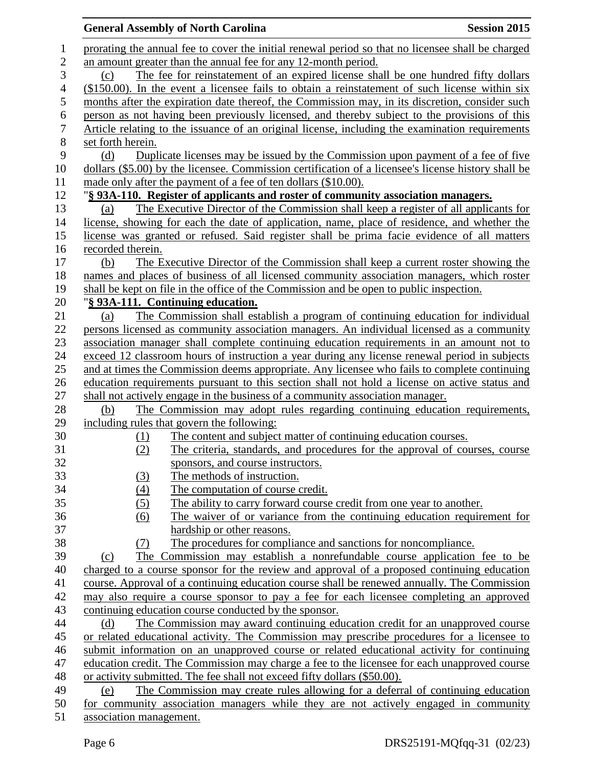|                  | <b>General Assembly of North Carolina</b>                                                                                                                                                 | <b>Session 2015</b> |
|------------------|-------------------------------------------------------------------------------------------------------------------------------------------------------------------------------------------|---------------------|
| $\mathbf{1}$     | prorating the annual fee to cover the initial renewal period so that no licensee shall be charged                                                                                         |                     |
| $\mathbf{2}$     | an amount greater than the annual fee for any 12-month period.                                                                                                                            |                     |
| 3                | The fee for reinstatement of an expired license shall be one hundred fifty dollars<br>(c)                                                                                                 |                     |
| $\overline{4}$   | $($150.00)$ . In the event a licensee fails to obtain a reinstatement of such license within six                                                                                          |                     |
| 5                | months after the expiration date thereof, the Commission may, in its discretion, consider such                                                                                            |                     |
| 6                | person as not having been previously licensed, and thereby subject to the provisions of this                                                                                              |                     |
| $\boldsymbol{7}$ | Article relating to the issuance of an original license, including the examination requirements                                                                                           |                     |
| 8                | set forth herein.                                                                                                                                                                         |                     |
| 9                | Duplicate licenses may be issued by the Commission upon payment of a fee of five<br>(d)                                                                                                   |                     |
| 10               | dollars (\$5.00) by the licensee. Commission certification of a licensee's license history shall be                                                                                       |                     |
| 11               | made only after the payment of a fee of ten dollars (\$10.00).                                                                                                                            |                     |
| 12               | "§ 93A-110. Register of applicants and roster of community association managers.                                                                                                          |                     |
| 13               | The Executive Director of the Commission shall keep a register of all applicants for<br>(a)                                                                                               |                     |
| 14               | license, showing for each the date of application, name, place of residence, and whether the                                                                                              |                     |
| 15               | license was granted or refused. Said register shall be prima facie evidence of all matters                                                                                                |                     |
| 16               | recorded therein.                                                                                                                                                                         |                     |
| 17               | The Executive Director of the Commission shall keep a current roster showing the<br>(b)                                                                                                   |                     |
| 18               | names and places of business of all licensed community association managers, which roster                                                                                                 |                     |
| 19               | shall be kept on file in the office of the Commission and be open to public inspection.                                                                                                   |                     |
| 20               | "§ 93A-111. Continuing education.                                                                                                                                                         |                     |
| 21               | The Commission shall establish a program of continuing education for individual<br>(a)                                                                                                    |                     |
| 22               | persons licensed as community association managers. An individual licensed as a community                                                                                                 |                     |
| 23               | association manager shall complete continuing education requirements in an amount not to                                                                                                  |                     |
| 24               | exceed 12 classroom hours of instruction a year during any license renewal period in subjects                                                                                             |                     |
| 25               | and at times the Commission deems appropriate. Any licensee who fails to complete continuing                                                                                              |                     |
| 26               | education requirements pursuant to this section shall not hold a license on active status and                                                                                             |                     |
| 27               | shall not actively engage in the business of a community association manager.                                                                                                             |                     |
| 28               | The Commission may adopt rules regarding continuing education requirements,<br>(b)                                                                                                        |                     |
| 29               | including rules that govern the following:                                                                                                                                                |                     |
| 30               | The content and subject matter of continuing education courses.<br>(1)                                                                                                                    |                     |
| 31               | (2)<br>The criteria, standards, and procedures for the approval of courses, course                                                                                                        |                     |
| 32               | sponsors, and course instructors.                                                                                                                                                         |                     |
| 33               | The methods of instruction.<br>(3)                                                                                                                                                        |                     |
| 34               | (4)<br>The computation of course credit.                                                                                                                                                  |                     |
| 35               | (5)<br>The ability to carry forward course credit from one year to another.                                                                                                               |                     |
| 36               | The waiver of or variance from the continuing education requirement for<br>(6)                                                                                                            |                     |
| 37               | hardship or other reasons.                                                                                                                                                                |                     |
| 38               | The procedures for compliance and sanctions for noncompliance.<br>(7)                                                                                                                     |                     |
| 39               | The Commission may establish a nonrefundable course application fee to be<br>(c)                                                                                                          |                     |
| 40               | charged to a course sponsor for the review and approval of a proposed continuing education                                                                                                |                     |
| 41               | course. Approval of a continuing education course shall be renewed annually. The Commission                                                                                               |                     |
| 42               | may also require a course sponsor to pay a fee for each licensee completing an approved                                                                                                   |                     |
| 43               | continuing education course conducted by the sponsor.                                                                                                                                     |                     |
| 44               | The Commission may award continuing education credit for an unapproved course<br>(d)                                                                                                      |                     |
| 45               | or related educational activity. The Commission may prescribe procedures for a licensee to                                                                                                |                     |
| 46<br>47         | submit information on an unapproved course or related educational activity for continuing<br>education credit. The Commission may charge a fee to the licensee for each unapproved course |                     |
|                  |                                                                                                                                                                                           |                     |
| 48<br>49         | or activity submitted. The fee shall not exceed fifty dollars (\$50.00).<br>The Commission may create rules allowing for a deferral of continuing education<br>(e)                        |                     |
| 50               | for community association managers while they are not actively engaged in community                                                                                                       |                     |
| 51               | association management.                                                                                                                                                                   |                     |
|                  |                                                                                                                                                                                           |                     |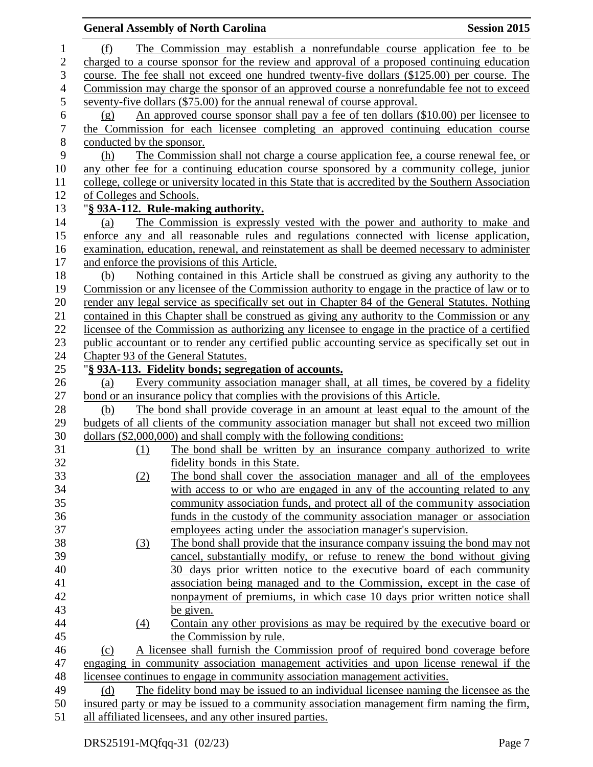| The Commission may establish a nonrefundable course application fee to be<br>$\mathbf{1}$<br>(f)<br>$\overline{c}$<br>charged to a course sponsor for the review and approval of a proposed continuing education<br>3<br>course. The fee shall not exceed one hundred twenty-five dollars (\$125.00) per course. The<br>$\overline{4}$<br>Commission may charge the sponsor of an approved course a nonrefundable fee not to exceed<br>5<br>seventy-five dollars (\$75.00) for the annual renewal of course approval.<br>6<br>An approved course sponsor shall pay a fee of ten dollars (\$10.00) per licensee to<br>(g)<br>$\boldsymbol{7}$<br>the Commission for each licensee completing an approved continuing education course<br>$8\,$<br>conducted by the sponsor.<br>9<br>The Commission shall not charge a course application fee, a course renewal fee, or<br>(h)<br>10<br>any other fee for a continuing education course sponsored by a community college, junior<br>college, college or university located in this State that is accredited by the Southern Association<br>11<br>12<br>of Colleges and Schools.<br>13<br>"§ 93A-112. Rule-making authority.<br>14<br>The Commission is expressly vested with the power and authority to make and<br>(a)<br>15<br>enforce any and all reasonable rules and regulations connected with license application,<br>16<br>examination, education, renewal, and reinstatement as shall be deemed necessary to administer<br>17<br>and enforce the provisions of this Article.<br>18<br>Nothing contained in this Article shall be construed as giving any authority to the<br>(b)<br>19<br>Commission or any licensee of the Commission authority to engage in the practice of law or to<br>20<br>render any legal service as specifically set out in Chapter 84 of the General Statutes. Nothing<br>contained in this Chapter shall be construed as giving any authority to the Commission or any<br>21<br>22<br>licensee of the Commission as authorizing any licensee to engage in the practice of a certified<br>23<br>public accountant or to render any certified public accounting service as specifically set out in<br>24<br>Chapter 93 of the General Statutes.<br>25<br>"§ 93A-113. Fidelity bonds; segregation of accounts.<br>26<br>Every community association manager shall, at all times, be covered by a fidelity<br>(a)<br>27<br>bond or an insurance policy that complies with the provisions of this Article.<br>28<br>The bond shall provide coverage in an amount at least equal to the amount of the<br>(b)<br>29<br>budgets of all clients of the community association manager but shall not exceed two million<br>30<br>dollars (\$2,000,000) and shall comply with the following conditions:<br>31<br>The bond shall be written by an insurance company authorized to write<br>(1)<br>32<br>fidelity bonds in this State.<br>33<br>(2)<br>The bond shall cover the association manager and all of the employees<br>34<br>with access to or who are engaged in any of the accounting related to any<br>35<br>community association funds, and protect all of the community association<br>36<br>funds in the custody of the community association manager or association<br>37<br>employees acting under the association manager's supervision.<br>38<br>The bond shall provide that the insurance company issuing the bond may not<br>(3)<br>39<br>cancel, substantially modify, or refuse to renew the bond without giving<br>40<br>30 days prior written notice to the executive board of each community<br>41<br>association being managed and to the Commission, except in the case of<br>42<br>nonpayment of premiums, in which case 10 days prior written notice shall<br>43<br>be given.<br>44<br>$\underline{(4)}$<br>Contain any other provisions as may be required by the executive board or<br>45<br>the Commission by rule.<br>46<br>A licensee shall furnish the Commission proof of required bond coverage before<br>(c)<br>47<br>engaging in community association management activities and upon license renewal if the<br>licensee continues to engage in community association management activities.<br>48<br>The fidelity bond may be issued to an individual licensee naming the licensee as the<br>49<br>(d)<br>50<br>insured party or may be issued to a community association management firm naming the firm,<br>51<br>all affiliated licensees, and any other insured parties. |  | <b>General Assembly of North Carolina</b> | <b>Session 2015</b> |
|-------------------------------------------------------------------------------------------------------------------------------------------------------------------------------------------------------------------------------------------------------------------------------------------------------------------------------------------------------------------------------------------------------------------------------------------------------------------------------------------------------------------------------------------------------------------------------------------------------------------------------------------------------------------------------------------------------------------------------------------------------------------------------------------------------------------------------------------------------------------------------------------------------------------------------------------------------------------------------------------------------------------------------------------------------------------------------------------------------------------------------------------------------------------------------------------------------------------------------------------------------------------------------------------------------------------------------------------------------------------------------------------------------------------------------------------------------------------------------------------------------------------------------------------------------------------------------------------------------------------------------------------------------------------------------------------------------------------------------------------------------------------------------------------------------------------------------------------------------------------------------------------------------------------------------------------------------------------------------------------------------------------------------------------------------------------------------------------------------------------------------------------------------------------------------------------------------------------------------------------------------------------------------------------------------------------------------------------------------------------------------------------------------------------------------------------------------------------------------------------------------------------------------------------------------------------------------------------------------------------------------------------------------------------------------------------------------------------------------------------------------------------------------------------------------------------------------------------------------------------------------------------------------------------------------------------------------------------------------------------------------------------------------------------------------------------------------------------------------------------------------------------------------------------------------------------------------------------------------------------------------------------------------------------------------------------------------------------------------------------------------------------------------------------------------------------------------------------------------------------------------------------------------------------------------------------------------------------------------------------------------------------------------------------------------------------------------------------------------------------------------------------------------------------------------------------------------------------------------------------------------------------------------------------------------------------------------------------------------------------------------------------------------------------------------------------------------------------------------------------------------------------------------------------------------------------------------------------------------------------------------------------------------------------------------------------------------------------------------------------------------------------------------------------------------------------------------------------------------------------|--|-------------------------------------------|---------------------|
|                                                                                                                                                                                                                                                                                                                                                                                                                                                                                                                                                                                                                                                                                                                                                                                                                                                                                                                                                                                                                                                                                                                                                                                                                                                                                                                                                                                                                                                                                                                                                                                                                                                                                                                                                                                                                                                                                                                                                                                                                                                                                                                                                                                                                                                                                                                                                                                                                                                                                                                                                                                                                                                                                                                                                                                                                                                                                                                                                                                                                                                                                                                                                                                                                                                                                                                                                                                                                                                                                                                                                                                                                                                                                                                                                                                                                                                                                                                                                                                                                                                                                                                                                                                                                                                                                                                                                                                                                                                                                           |  |                                           |                     |
|                                                                                                                                                                                                                                                                                                                                                                                                                                                                                                                                                                                                                                                                                                                                                                                                                                                                                                                                                                                                                                                                                                                                                                                                                                                                                                                                                                                                                                                                                                                                                                                                                                                                                                                                                                                                                                                                                                                                                                                                                                                                                                                                                                                                                                                                                                                                                                                                                                                                                                                                                                                                                                                                                                                                                                                                                                                                                                                                                                                                                                                                                                                                                                                                                                                                                                                                                                                                                                                                                                                                                                                                                                                                                                                                                                                                                                                                                                                                                                                                                                                                                                                                                                                                                                                                                                                                                                                                                                                                                           |  |                                           |                     |
|                                                                                                                                                                                                                                                                                                                                                                                                                                                                                                                                                                                                                                                                                                                                                                                                                                                                                                                                                                                                                                                                                                                                                                                                                                                                                                                                                                                                                                                                                                                                                                                                                                                                                                                                                                                                                                                                                                                                                                                                                                                                                                                                                                                                                                                                                                                                                                                                                                                                                                                                                                                                                                                                                                                                                                                                                                                                                                                                                                                                                                                                                                                                                                                                                                                                                                                                                                                                                                                                                                                                                                                                                                                                                                                                                                                                                                                                                                                                                                                                                                                                                                                                                                                                                                                                                                                                                                                                                                                                                           |  |                                           |                     |
|                                                                                                                                                                                                                                                                                                                                                                                                                                                                                                                                                                                                                                                                                                                                                                                                                                                                                                                                                                                                                                                                                                                                                                                                                                                                                                                                                                                                                                                                                                                                                                                                                                                                                                                                                                                                                                                                                                                                                                                                                                                                                                                                                                                                                                                                                                                                                                                                                                                                                                                                                                                                                                                                                                                                                                                                                                                                                                                                                                                                                                                                                                                                                                                                                                                                                                                                                                                                                                                                                                                                                                                                                                                                                                                                                                                                                                                                                                                                                                                                                                                                                                                                                                                                                                                                                                                                                                                                                                                                                           |  |                                           |                     |
|                                                                                                                                                                                                                                                                                                                                                                                                                                                                                                                                                                                                                                                                                                                                                                                                                                                                                                                                                                                                                                                                                                                                                                                                                                                                                                                                                                                                                                                                                                                                                                                                                                                                                                                                                                                                                                                                                                                                                                                                                                                                                                                                                                                                                                                                                                                                                                                                                                                                                                                                                                                                                                                                                                                                                                                                                                                                                                                                                                                                                                                                                                                                                                                                                                                                                                                                                                                                                                                                                                                                                                                                                                                                                                                                                                                                                                                                                                                                                                                                                                                                                                                                                                                                                                                                                                                                                                                                                                                                                           |  |                                           |                     |
|                                                                                                                                                                                                                                                                                                                                                                                                                                                                                                                                                                                                                                                                                                                                                                                                                                                                                                                                                                                                                                                                                                                                                                                                                                                                                                                                                                                                                                                                                                                                                                                                                                                                                                                                                                                                                                                                                                                                                                                                                                                                                                                                                                                                                                                                                                                                                                                                                                                                                                                                                                                                                                                                                                                                                                                                                                                                                                                                                                                                                                                                                                                                                                                                                                                                                                                                                                                                                                                                                                                                                                                                                                                                                                                                                                                                                                                                                                                                                                                                                                                                                                                                                                                                                                                                                                                                                                                                                                                                                           |  |                                           |                     |
|                                                                                                                                                                                                                                                                                                                                                                                                                                                                                                                                                                                                                                                                                                                                                                                                                                                                                                                                                                                                                                                                                                                                                                                                                                                                                                                                                                                                                                                                                                                                                                                                                                                                                                                                                                                                                                                                                                                                                                                                                                                                                                                                                                                                                                                                                                                                                                                                                                                                                                                                                                                                                                                                                                                                                                                                                                                                                                                                                                                                                                                                                                                                                                                                                                                                                                                                                                                                                                                                                                                                                                                                                                                                                                                                                                                                                                                                                                                                                                                                                                                                                                                                                                                                                                                                                                                                                                                                                                                                                           |  |                                           |                     |
|                                                                                                                                                                                                                                                                                                                                                                                                                                                                                                                                                                                                                                                                                                                                                                                                                                                                                                                                                                                                                                                                                                                                                                                                                                                                                                                                                                                                                                                                                                                                                                                                                                                                                                                                                                                                                                                                                                                                                                                                                                                                                                                                                                                                                                                                                                                                                                                                                                                                                                                                                                                                                                                                                                                                                                                                                                                                                                                                                                                                                                                                                                                                                                                                                                                                                                                                                                                                                                                                                                                                                                                                                                                                                                                                                                                                                                                                                                                                                                                                                                                                                                                                                                                                                                                                                                                                                                                                                                                                                           |  |                                           |                     |
|                                                                                                                                                                                                                                                                                                                                                                                                                                                                                                                                                                                                                                                                                                                                                                                                                                                                                                                                                                                                                                                                                                                                                                                                                                                                                                                                                                                                                                                                                                                                                                                                                                                                                                                                                                                                                                                                                                                                                                                                                                                                                                                                                                                                                                                                                                                                                                                                                                                                                                                                                                                                                                                                                                                                                                                                                                                                                                                                                                                                                                                                                                                                                                                                                                                                                                                                                                                                                                                                                                                                                                                                                                                                                                                                                                                                                                                                                                                                                                                                                                                                                                                                                                                                                                                                                                                                                                                                                                                                                           |  |                                           |                     |
|                                                                                                                                                                                                                                                                                                                                                                                                                                                                                                                                                                                                                                                                                                                                                                                                                                                                                                                                                                                                                                                                                                                                                                                                                                                                                                                                                                                                                                                                                                                                                                                                                                                                                                                                                                                                                                                                                                                                                                                                                                                                                                                                                                                                                                                                                                                                                                                                                                                                                                                                                                                                                                                                                                                                                                                                                                                                                                                                                                                                                                                                                                                                                                                                                                                                                                                                                                                                                                                                                                                                                                                                                                                                                                                                                                                                                                                                                                                                                                                                                                                                                                                                                                                                                                                                                                                                                                                                                                                                                           |  |                                           |                     |
|                                                                                                                                                                                                                                                                                                                                                                                                                                                                                                                                                                                                                                                                                                                                                                                                                                                                                                                                                                                                                                                                                                                                                                                                                                                                                                                                                                                                                                                                                                                                                                                                                                                                                                                                                                                                                                                                                                                                                                                                                                                                                                                                                                                                                                                                                                                                                                                                                                                                                                                                                                                                                                                                                                                                                                                                                                                                                                                                                                                                                                                                                                                                                                                                                                                                                                                                                                                                                                                                                                                                                                                                                                                                                                                                                                                                                                                                                                                                                                                                                                                                                                                                                                                                                                                                                                                                                                                                                                                                                           |  |                                           |                     |
|                                                                                                                                                                                                                                                                                                                                                                                                                                                                                                                                                                                                                                                                                                                                                                                                                                                                                                                                                                                                                                                                                                                                                                                                                                                                                                                                                                                                                                                                                                                                                                                                                                                                                                                                                                                                                                                                                                                                                                                                                                                                                                                                                                                                                                                                                                                                                                                                                                                                                                                                                                                                                                                                                                                                                                                                                                                                                                                                                                                                                                                                                                                                                                                                                                                                                                                                                                                                                                                                                                                                                                                                                                                                                                                                                                                                                                                                                                                                                                                                                                                                                                                                                                                                                                                                                                                                                                                                                                                                                           |  |                                           |                     |
|                                                                                                                                                                                                                                                                                                                                                                                                                                                                                                                                                                                                                                                                                                                                                                                                                                                                                                                                                                                                                                                                                                                                                                                                                                                                                                                                                                                                                                                                                                                                                                                                                                                                                                                                                                                                                                                                                                                                                                                                                                                                                                                                                                                                                                                                                                                                                                                                                                                                                                                                                                                                                                                                                                                                                                                                                                                                                                                                                                                                                                                                                                                                                                                                                                                                                                                                                                                                                                                                                                                                                                                                                                                                                                                                                                                                                                                                                                                                                                                                                                                                                                                                                                                                                                                                                                                                                                                                                                                                                           |  |                                           |                     |
|                                                                                                                                                                                                                                                                                                                                                                                                                                                                                                                                                                                                                                                                                                                                                                                                                                                                                                                                                                                                                                                                                                                                                                                                                                                                                                                                                                                                                                                                                                                                                                                                                                                                                                                                                                                                                                                                                                                                                                                                                                                                                                                                                                                                                                                                                                                                                                                                                                                                                                                                                                                                                                                                                                                                                                                                                                                                                                                                                                                                                                                                                                                                                                                                                                                                                                                                                                                                                                                                                                                                                                                                                                                                                                                                                                                                                                                                                                                                                                                                                                                                                                                                                                                                                                                                                                                                                                                                                                                                                           |  |                                           |                     |
|                                                                                                                                                                                                                                                                                                                                                                                                                                                                                                                                                                                                                                                                                                                                                                                                                                                                                                                                                                                                                                                                                                                                                                                                                                                                                                                                                                                                                                                                                                                                                                                                                                                                                                                                                                                                                                                                                                                                                                                                                                                                                                                                                                                                                                                                                                                                                                                                                                                                                                                                                                                                                                                                                                                                                                                                                                                                                                                                                                                                                                                                                                                                                                                                                                                                                                                                                                                                                                                                                                                                                                                                                                                                                                                                                                                                                                                                                                                                                                                                                                                                                                                                                                                                                                                                                                                                                                                                                                                                                           |  |                                           |                     |
|                                                                                                                                                                                                                                                                                                                                                                                                                                                                                                                                                                                                                                                                                                                                                                                                                                                                                                                                                                                                                                                                                                                                                                                                                                                                                                                                                                                                                                                                                                                                                                                                                                                                                                                                                                                                                                                                                                                                                                                                                                                                                                                                                                                                                                                                                                                                                                                                                                                                                                                                                                                                                                                                                                                                                                                                                                                                                                                                                                                                                                                                                                                                                                                                                                                                                                                                                                                                                                                                                                                                                                                                                                                                                                                                                                                                                                                                                                                                                                                                                                                                                                                                                                                                                                                                                                                                                                                                                                                                                           |  |                                           |                     |
|                                                                                                                                                                                                                                                                                                                                                                                                                                                                                                                                                                                                                                                                                                                                                                                                                                                                                                                                                                                                                                                                                                                                                                                                                                                                                                                                                                                                                                                                                                                                                                                                                                                                                                                                                                                                                                                                                                                                                                                                                                                                                                                                                                                                                                                                                                                                                                                                                                                                                                                                                                                                                                                                                                                                                                                                                                                                                                                                                                                                                                                                                                                                                                                                                                                                                                                                                                                                                                                                                                                                                                                                                                                                                                                                                                                                                                                                                                                                                                                                                                                                                                                                                                                                                                                                                                                                                                                                                                                                                           |  |                                           |                     |
|                                                                                                                                                                                                                                                                                                                                                                                                                                                                                                                                                                                                                                                                                                                                                                                                                                                                                                                                                                                                                                                                                                                                                                                                                                                                                                                                                                                                                                                                                                                                                                                                                                                                                                                                                                                                                                                                                                                                                                                                                                                                                                                                                                                                                                                                                                                                                                                                                                                                                                                                                                                                                                                                                                                                                                                                                                                                                                                                                                                                                                                                                                                                                                                                                                                                                                                                                                                                                                                                                                                                                                                                                                                                                                                                                                                                                                                                                                                                                                                                                                                                                                                                                                                                                                                                                                                                                                                                                                                                                           |  |                                           |                     |
|                                                                                                                                                                                                                                                                                                                                                                                                                                                                                                                                                                                                                                                                                                                                                                                                                                                                                                                                                                                                                                                                                                                                                                                                                                                                                                                                                                                                                                                                                                                                                                                                                                                                                                                                                                                                                                                                                                                                                                                                                                                                                                                                                                                                                                                                                                                                                                                                                                                                                                                                                                                                                                                                                                                                                                                                                                                                                                                                                                                                                                                                                                                                                                                                                                                                                                                                                                                                                                                                                                                                                                                                                                                                                                                                                                                                                                                                                                                                                                                                                                                                                                                                                                                                                                                                                                                                                                                                                                                                                           |  |                                           |                     |
|                                                                                                                                                                                                                                                                                                                                                                                                                                                                                                                                                                                                                                                                                                                                                                                                                                                                                                                                                                                                                                                                                                                                                                                                                                                                                                                                                                                                                                                                                                                                                                                                                                                                                                                                                                                                                                                                                                                                                                                                                                                                                                                                                                                                                                                                                                                                                                                                                                                                                                                                                                                                                                                                                                                                                                                                                                                                                                                                                                                                                                                                                                                                                                                                                                                                                                                                                                                                                                                                                                                                                                                                                                                                                                                                                                                                                                                                                                                                                                                                                                                                                                                                                                                                                                                                                                                                                                                                                                                                                           |  |                                           |                     |
|                                                                                                                                                                                                                                                                                                                                                                                                                                                                                                                                                                                                                                                                                                                                                                                                                                                                                                                                                                                                                                                                                                                                                                                                                                                                                                                                                                                                                                                                                                                                                                                                                                                                                                                                                                                                                                                                                                                                                                                                                                                                                                                                                                                                                                                                                                                                                                                                                                                                                                                                                                                                                                                                                                                                                                                                                                                                                                                                                                                                                                                                                                                                                                                                                                                                                                                                                                                                                                                                                                                                                                                                                                                                                                                                                                                                                                                                                                                                                                                                                                                                                                                                                                                                                                                                                                                                                                                                                                                                                           |  |                                           |                     |
|                                                                                                                                                                                                                                                                                                                                                                                                                                                                                                                                                                                                                                                                                                                                                                                                                                                                                                                                                                                                                                                                                                                                                                                                                                                                                                                                                                                                                                                                                                                                                                                                                                                                                                                                                                                                                                                                                                                                                                                                                                                                                                                                                                                                                                                                                                                                                                                                                                                                                                                                                                                                                                                                                                                                                                                                                                                                                                                                                                                                                                                                                                                                                                                                                                                                                                                                                                                                                                                                                                                                                                                                                                                                                                                                                                                                                                                                                                                                                                                                                                                                                                                                                                                                                                                                                                                                                                                                                                                                                           |  |                                           |                     |
|                                                                                                                                                                                                                                                                                                                                                                                                                                                                                                                                                                                                                                                                                                                                                                                                                                                                                                                                                                                                                                                                                                                                                                                                                                                                                                                                                                                                                                                                                                                                                                                                                                                                                                                                                                                                                                                                                                                                                                                                                                                                                                                                                                                                                                                                                                                                                                                                                                                                                                                                                                                                                                                                                                                                                                                                                                                                                                                                                                                                                                                                                                                                                                                                                                                                                                                                                                                                                                                                                                                                                                                                                                                                                                                                                                                                                                                                                                                                                                                                                                                                                                                                                                                                                                                                                                                                                                                                                                                                                           |  |                                           |                     |
|                                                                                                                                                                                                                                                                                                                                                                                                                                                                                                                                                                                                                                                                                                                                                                                                                                                                                                                                                                                                                                                                                                                                                                                                                                                                                                                                                                                                                                                                                                                                                                                                                                                                                                                                                                                                                                                                                                                                                                                                                                                                                                                                                                                                                                                                                                                                                                                                                                                                                                                                                                                                                                                                                                                                                                                                                                                                                                                                                                                                                                                                                                                                                                                                                                                                                                                                                                                                                                                                                                                                                                                                                                                                                                                                                                                                                                                                                                                                                                                                                                                                                                                                                                                                                                                                                                                                                                                                                                                                                           |  |                                           |                     |
|                                                                                                                                                                                                                                                                                                                                                                                                                                                                                                                                                                                                                                                                                                                                                                                                                                                                                                                                                                                                                                                                                                                                                                                                                                                                                                                                                                                                                                                                                                                                                                                                                                                                                                                                                                                                                                                                                                                                                                                                                                                                                                                                                                                                                                                                                                                                                                                                                                                                                                                                                                                                                                                                                                                                                                                                                                                                                                                                                                                                                                                                                                                                                                                                                                                                                                                                                                                                                                                                                                                                                                                                                                                                                                                                                                                                                                                                                                                                                                                                                                                                                                                                                                                                                                                                                                                                                                                                                                                                                           |  |                                           |                     |
|                                                                                                                                                                                                                                                                                                                                                                                                                                                                                                                                                                                                                                                                                                                                                                                                                                                                                                                                                                                                                                                                                                                                                                                                                                                                                                                                                                                                                                                                                                                                                                                                                                                                                                                                                                                                                                                                                                                                                                                                                                                                                                                                                                                                                                                                                                                                                                                                                                                                                                                                                                                                                                                                                                                                                                                                                                                                                                                                                                                                                                                                                                                                                                                                                                                                                                                                                                                                                                                                                                                                                                                                                                                                                                                                                                                                                                                                                                                                                                                                                                                                                                                                                                                                                                                                                                                                                                                                                                                                                           |  |                                           |                     |
|                                                                                                                                                                                                                                                                                                                                                                                                                                                                                                                                                                                                                                                                                                                                                                                                                                                                                                                                                                                                                                                                                                                                                                                                                                                                                                                                                                                                                                                                                                                                                                                                                                                                                                                                                                                                                                                                                                                                                                                                                                                                                                                                                                                                                                                                                                                                                                                                                                                                                                                                                                                                                                                                                                                                                                                                                                                                                                                                                                                                                                                                                                                                                                                                                                                                                                                                                                                                                                                                                                                                                                                                                                                                                                                                                                                                                                                                                                                                                                                                                                                                                                                                                                                                                                                                                                                                                                                                                                                                                           |  |                                           |                     |
|                                                                                                                                                                                                                                                                                                                                                                                                                                                                                                                                                                                                                                                                                                                                                                                                                                                                                                                                                                                                                                                                                                                                                                                                                                                                                                                                                                                                                                                                                                                                                                                                                                                                                                                                                                                                                                                                                                                                                                                                                                                                                                                                                                                                                                                                                                                                                                                                                                                                                                                                                                                                                                                                                                                                                                                                                                                                                                                                                                                                                                                                                                                                                                                                                                                                                                                                                                                                                                                                                                                                                                                                                                                                                                                                                                                                                                                                                                                                                                                                                                                                                                                                                                                                                                                                                                                                                                                                                                                                                           |  |                                           |                     |
|                                                                                                                                                                                                                                                                                                                                                                                                                                                                                                                                                                                                                                                                                                                                                                                                                                                                                                                                                                                                                                                                                                                                                                                                                                                                                                                                                                                                                                                                                                                                                                                                                                                                                                                                                                                                                                                                                                                                                                                                                                                                                                                                                                                                                                                                                                                                                                                                                                                                                                                                                                                                                                                                                                                                                                                                                                                                                                                                                                                                                                                                                                                                                                                                                                                                                                                                                                                                                                                                                                                                                                                                                                                                                                                                                                                                                                                                                                                                                                                                                                                                                                                                                                                                                                                                                                                                                                                                                                                                                           |  |                                           |                     |
|                                                                                                                                                                                                                                                                                                                                                                                                                                                                                                                                                                                                                                                                                                                                                                                                                                                                                                                                                                                                                                                                                                                                                                                                                                                                                                                                                                                                                                                                                                                                                                                                                                                                                                                                                                                                                                                                                                                                                                                                                                                                                                                                                                                                                                                                                                                                                                                                                                                                                                                                                                                                                                                                                                                                                                                                                                                                                                                                                                                                                                                                                                                                                                                                                                                                                                                                                                                                                                                                                                                                                                                                                                                                                                                                                                                                                                                                                                                                                                                                                                                                                                                                                                                                                                                                                                                                                                                                                                                                                           |  |                                           |                     |
|                                                                                                                                                                                                                                                                                                                                                                                                                                                                                                                                                                                                                                                                                                                                                                                                                                                                                                                                                                                                                                                                                                                                                                                                                                                                                                                                                                                                                                                                                                                                                                                                                                                                                                                                                                                                                                                                                                                                                                                                                                                                                                                                                                                                                                                                                                                                                                                                                                                                                                                                                                                                                                                                                                                                                                                                                                                                                                                                                                                                                                                                                                                                                                                                                                                                                                                                                                                                                                                                                                                                                                                                                                                                                                                                                                                                                                                                                                                                                                                                                                                                                                                                                                                                                                                                                                                                                                                                                                                                                           |  |                                           |                     |
|                                                                                                                                                                                                                                                                                                                                                                                                                                                                                                                                                                                                                                                                                                                                                                                                                                                                                                                                                                                                                                                                                                                                                                                                                                                                                                                                                                                                                                                                                                                                                                                                                                                                                                                                                                                                                                                                                                                                                                                                                                                                                                                                                                                                                                                                                                                                                                                                                                                                                                                                                                                                                                                                                                                                                                                                                                                                                                                                                                                                                                                                                                                                                                                                                                                                                                                                                                                                                                                                                                                                                                                                                                                                                                                                                                                                                                                                                                                                                                                                                                                                                                                                                                                                                                                                                                                                                                                                                                                                                           |  |                                           |                     |
|                                                                                                                                                                                                                                                                                                                                                                                                                                                                                                                                                                                                                                                                                                                                                                                                                                                                                                                                                                                                                                                                                                                                                                                                                                                                                                                                                                                                                                                                                                                                                                                                                                                                                                                                                                                                                                                                                                                                                                                                                                                                                                                                                                                                                                                                                                                                                                                                                                                                                                                                                                                                                                                                                                                                                                                                                                                                                                                                                                                                                                                                                                                                                                                                                                                                                                                                                                                                                                                                                                                                                                                                                                                                                                                                                                                                                                                                                                                                                                                                                                                                                                                                                                                                                                                                                                                                                                                                                                                                                           |  |                                           |                     |
|                                                                                                                                                                                                                                                                                                                                                                                                                                                                                                                                                                                                                                                                                                                                                                                                                                                                                                                                                                                                                                                                                                                                                                                                                                                                                                                                                                                                                                                                                                                                                                                                                                                                                                                                                                                                                                                                                                                                                                                                                                                                                                                                                                                                                                                                                                                                                                                                                                                                                                                                                                                                                                                                                                                                                                                                                                                                                                                                                                                                                                                                                                                                                                                                                                                                                                                                                                                                                                                                                                                                                                                                                                                                                                                                                                                                                                                                                                                                                                                                                                                                                                                                                                                                                                                                                                                                                                                                                                                                                           |  |                                           |                     |
|                                                                                                                                                                                                                                                                                                                                                                                                                                                                                                                                                                                                                                                                                                                                                                                                                                                                                                                                                                                                                                                                                                                                                                                                                                                                                                                                                                                                                                                                                                                                                                                                                                                                                                                                                                                                                                                                                                                                                                                                                                                                                                                                                                                                                                                                                                                                                                                                                                                                                                                                                                                                                                                                                                                                                                                                                                                                                                                                                                                                                                                                                                                                                                                                                                                                                                                                                                                                                                                                                                                                                                                                                                                                                                                                                                                                                                                                                                                                                                                                                                                                                                                                                                                                                                                                                                                                                                                                                                                                                           |  |                                           |                     |
|                                                                                                                                                                                                                                                                                                                                                                                                                                                                                                                                                                                                                                                                                                                                                                                                                                                                                                                                                                                                                                                                                                                                                                                                                                                                                                                                                                                                                                                                                                                                                                                                                                                                                                                                                                                                                                                                                                                                                                                                                                                                                                                                                                                                                                                                                                                                                                                                                                                                                                                                                                                                                                                                                                                                                                                                                                                                                                                                                                                                                                                                                                                                                                                                                                                                                                                                                                                                                                                                                                                                                                                                                                                                                                                                                                                                                                                                                                                                                                                                                                                                                                                                                                                                                                                                                                                                                                                                                                                                                           |  |                                           |                     |
|                                                                                                                                                                                                                                                                                                                                                                                                                                                                                                                                                                                                                                                                                                                                                                                                                                                                                                                                                                                                                                                                                                                                                                                                                                                                                                                                                                                                                                                                                                                                                                                                                                                                                                                                                                                                                                                                                                                                                                                                                                                                                                                                                                                                                                                                                                                                                                                                                                                                                                                                                                                                                                                                                                                                                                                                                                                                                                                                                                                                                                                                                                                                                                                                                                                                                                                                                                                                                                                                                                                                                                                                                                                                                                                                                                                                                                                                                                                                                                                                                                                                                                                                                                                                                                                                                                                                                                                                                                                                                           |  |                                           |                     |
|                                                                                                                                                                                                                                                                                                                                                                                                                                                                                                                                                                                                                                                                                                                                                                                                                                                                                                                                                                                                                                                                                                                                                                                                                                                                                                                                                                                                                                                                                                                                                                                                                                                                                                                                                                                                                                                                                                                                                                                                                                                                                                                                                                                                                                                                                                                                                                                                                                                                                                                                                                                                                                                                                                                                                                                                                                                                                                                                                                                                                                                                                                                                                                                                                                                                                                                                                                                                                                                                                                                                                                                                                                                                                                                                                                                                                                                                                                                                                                                                                                                                                                                                                                                                                                                                                                                                                                                                                                                                                           |  |                                           |                     |
|                                                                                                                                                                                                                                                                                                                                                                                                                                                                                                                                                                                                                                                                                                                                                                                                                                                                                                                                                                                                                                                                                                                                                                                                                                                                                                                                                                                                                                                                                                                                                                                                                                                                                                                                                                                                                                                                                                                                                                                                                                                                                                                                                                                                                                                                                                                                                                                                                                                                                                                                                                                                                                                                                                                                                                                                                                                                                                                                                                                                                                                                                                                                                                                                                                                                                                                                                                                                                                                                                                                                                                                                                                                                                                                                                                                                                                                                                                                                                                                                                                                                                                                                                                                                                                                                                                                                                                                                                                                                                           |  |                                           |                     |
|                                                                                                                                                                                                                                                                                                                                                                                                                                                                                                                                                                                                                                                                                                                                                                                                                                                                                                                                                                                                                                                                                                                                                                                                                                                                                                                                                                                                                                                                                                                                                                                                                                                                                                                                                                                                                                                                                                                                                                                                                                                                                                                                                                                                                                                                                                                                                                                                                                                                                                                                                                                                                                                                                                                                                                                                                                                                                                                                                                                                                                                                                                                                                                                                                                                                                                                                                                                                                                                                                                                                                                                                                                                                                                                                                                                                                                                                                                                                                                                                                                                                                                                                                                                                                                                                                                                                                                                                                                                                                           |  |                                           |                     |
|                                                                                                                                                                                                                                                                                                                                                                                                                                                                                                                                                                                                                                                                                                                                                                                                                                                                                                                                                                                                                                                                                                                                                                                                                                                                                                                                                                                                                                                                                                                                                                                                                                                                                                                                                                                                                                                                                                                                                                                                                                                                                                                                                                                                                                                                                                                                                                                                                                                                                                                                                                                                                                                                                                                                                                                                                                                                                                                                                                                                                                                                                                                                                                                                                                                                                                                                                                                                                                                                                                                                                                                                                                                                                                                                                                                                                                                                                                                                                                                                                                                                                                                                                                                                                                                                                                                                                                                                                                                                                           |  |                                           |                     |
|                                                                                                                                                                                                                                                                                                                                                                                                                                                                                                                                                                                                                                                                                                                                                                                                                                                                                                                                                                                                                                                                                                                                                                                                                                                                                                                                                                                                                                                                                                                                                                                                                                                                                                                                                                                                                                                                                                                                                                                                                                                                                                                                                                                                                                                                                                                                                                                                                                                                                                                                                                                                                                                                                                                                                                                                                                                                                                                                                                                                                                                                                                                                                                                                                                                                                                                                                                                                                                                                                                                                                                                                                                                                                                                                                                                                                                                                                                                                                                                                                                                                                                                                                                                                                                                                                                                                                                                                                                                                                           |  |                                           |                     |
|                                                                                                                                                                                                                                                                                                                                                                                                                                                                                                                                                                                                                                                                                                                                                                                                                                                                                                                                                                                                                                                                                                                                                                                                                                                                                                                                                                                                                                                                                                                                                                                                                                                                                                                                                                                                                                                                                                                                                                                                                                                                                                                                                                                                                                                                                                                                                                                                                                                                                                                                                                                                                                                                                                                                                                                                                                                                                                                                                                                                                                                                                                                                                                                                                                                                                                                                                                                                                                                                                                                                                                                                                                                                                                                                                                                                                                                                                                                                                                                                                                                                                                                                                                                                                                                                                                                                                                                                                                                                                           |  |                                           |                     |
|                                                                                                                                                                                                                                                                                                                                                                                                                                                                                                                                                                                                                                                                                                                                                                                                                                                                                                                                                                                                                                                                                                                                                                                                                                                                                                                                                                                                                                                                                                                                                                                                                                                                                                                                                                                                                                                                                                                                                                                                                                                                                                                                                                                                                                                                                                                                                                                                                                                                                                                                                                                                                                                                                                                                                                                                                                                                                                                                                                                                                                                                                                                                                                                                                                                                                                                                                                                                                                                                                                                                                                                                                                                                                                                                                                                                                                                                                                                                                                                                                                                                                                                                                                                                                                                                                                                                                                                                                                                                                           |  |                                           |                     |
|                                                                                                                                                                                                                                                                                                                                                                                                                                                                                                                                                                                                                                                                                                                                                                                                                                                                                                                                                                                                                                                                                                                                                                                                                                                                                                                                                                                                                                                                                                                                                                                                                                                                                                                                                                                                                                                                                                                                                                                                                                                                                                                                                                                                                                                                                                                                                                                                                                                                                                                                                                                                                                                                                                                                                                                                                                                                                                                                                                                                                                                                                                                                                                                                                                                                                                                                                                                                                                                                                                                                                                                                                                                                                                                                                                                                                                                                                                                                                                                                                                                                                                                                                                                                                                                                                                                                                                                                                                                                                           |  |                                           |                     |
|                                                                                                                                                                                                                                                                                                                                                                                                                                                                                                                                                                                                                                                                                                                                                                                                                                                                                                                                                                                                                                                                                                                                                                                                                                                                                                                                                                                                                                                                                                                                                                                                                                                                                                                                                                                                                                                                                                                                                                                                                                                                                                                                                                                                                                                                                                                                                                                                                                                                                                                                                                                                                                                                                                                                                                                                                                                                                                                                                                                                                                                                                                                                                                                                                                                                                                                                                                                                                                                                                                                                                                                                                                                                                                                                                                                                                                                                                                                                                                                                                                                                                                                                                                                                                                                                                                                                                                                                                                                                                           |  |                                           |                     |
|                                                                                                                                                                                                                                                                                                                                                                                                                                                                                                                                                                                                                                                                                                                                                                                                                                                                                                                                                                                                                                                                                                                                                                                                                                                                                                                                                                                                                                                                                                                                                                                                                                                                                                                                                                                                                                                                                                                                                                                                                                                                                                                                                                                                                                                                                                                                                                                                                                                                                                                                                                                                                                                                                                                                                                                                                                                                                                                                                                                                                                                                                                                                                                                                                                                                                                                                                                                                                                                                                                                                                                                                                                                                                                                                                                                                                                                                                                                                                                                                                                                                                                                                                                                                                                                                                                                                                                                                                                                                                           |  |                                           |                     |
|                                                                                                                                                                                                                                                                                                                                                                                                                                                                                                                                                                                                                                                                                                                                                                                                                                                                                                                                                                                                                                                                                                                                                                                                                                                                                                                                                                                                                                                                                                                                                                                                                                                                                                                                                                                                                                                                                                                                                                                                                                                                                                                                                                                                                                                                                                                                                                                                                                                                                                                                                                                                                                                                                                                                                                                                                                                                                                                                                                                                                                                                                                                                                                                                                                                                                                                                                                                                                                                                                                                                                                                                                                                                                                                                                                                                                                                                                                                                                                                                                                                                                                                                                                                                                                                                                                                                                                                                                                                                                           |  |                                           |                     |
|                                                                                                                                                                                                                                                                                                                                                                                                                                                                                                                                                                                                                                                                                                                                                                                                                                                                                                                                                                                                                                                                                                                                                                                                                                                                                                                                                                                                                                                                                                                                                                                                                                                                                                                                                                                                                                                                                                                                                                                                                                                                                                                                                                                                                                                                                                                                                                                                                                                                                                                                                                                                                                                                                                                                                                                                                                                                                                                                                                                                                                                                                                                                                                                                                                                                                                                                                                                                                                                                                                                                                                                                                                                                                                                                                                                                                                                                                                                                                                                                                                                                                                                                                                                                                                                                                                                                                                                                                                                                                           |  |                                           |                     |
|                                                                                                                                                                                                                                                                                                                                                                                                                                                                                                                                                                                                                                                                                                                                                                                                                                                                                                                                                                                                                                                                                                                                                                                                                                                                                                                                                                                                                                                                                                                                                                                                                                                                                                                                                                                                                                                                                                                                                                                                                                                                                                                                                                                                                                                                                                                                                                                                                                                                                                                                                                                                                                                                                                                                                                                                                                                                                                                                                                                                                                                                                                                                                                                                                                                                                                                                                                                                                                                                                                                                                                                                                                                                                                                                                                                                                                                                                                                                                                                                                                                                                                                                                                                                                                                                                                                                                                                                                                                                                           |  |                                           |                     |
|                                                                                                                                                                                                                                                                                                                                                                                                                                                                                                                                                                                                                                                                                                                                                                                                                                                                                                                                                                                                                                                                                                                                                                                                                                                                                                                                                                                                                                                                                                                                                                                                                                                                                                                                                                                                                                                                                                                                                                                                                                                                                                                                                                                                                                                                                                                                                                                                                                                                                                                                                                                                                                                                                                                                                                                                                                                                                                                                                                                                                                                                                                                                                                                                                                                                                                                                                                                                                                                                                                                                                                                                                                                                                                                                                                                                                                                                                                                                                                                                                                                                                                                                                                                                                                                                                                                                                                                                                                                                                           |  |                                           |                     |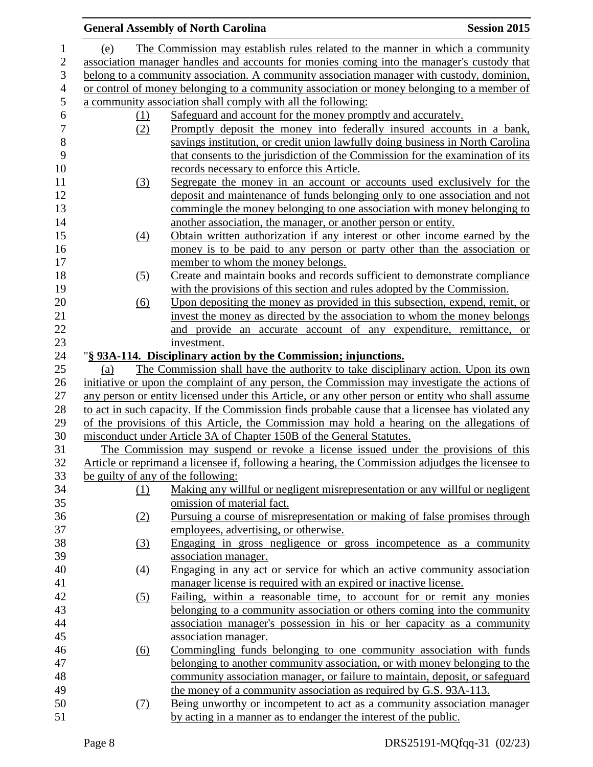|     |                  | <b>General Assembly of North Carolina</b>                                                        | <b>Session 2015</b> |
|-----|------------------|--------------------------------------------------------------------------------------------------|---------------------|
| (e) |                  | The Commission may establish rules related to the manner in which a community                    |                     |
|     |                  | association manager handles and accounts for monies coming into the manager's custody that       |                     |
|     |                  | belong to a community association. A community association manager with custody, dominion,       |                     |
|     |                  | or control of money belonging to a community association or money belonging to a member of       |                     |
|     |                  | a community association shall comply with all the following:                                     |                     |
|     | (1)              | Safeguard and account for the money promptly and accurately.                                     |                     |
|     | (2)              | Promptly deposit the money into federally insured accounts in a bank,                            |                     |
|     |                  | savings institution, or credit union lawfully doing business in North Carolina                   |                     |
|     |                  | that consents to the jurisdiction of the Commission for the examination of its                   |                     |
|     |                  | records necessary to enforce this Article.                                                       |                     |
|     | (3)              | Segregate the money in an account or accounts used exclusively for the                           |                     |
|     |                  | deposit and maintenance of funds belonging only to one association and not                       |                     |
|     |                  | commingle the money belonging to one association with money belonging to                         |                     |
|     |                  | another association, the manager, or another person or entity.                                   |                     |
|     | (4)              | Obtain written authorization if any interest or other income earned by the                       |                     |
|     |                  | money is to be paid to any person or party other than the association or                         |                     |
|     |                  | member to whom the money belongs.                                                                |                     |
|     | (5)              | Create and maintain books and records sufficient to demonstrate compliance                       |                     |
|     |                  | with the provisions of this section and rules adopted by the Commission.                         |                     |
|     | (6)              | Upon depositing the money as provided in this subsection, expend, remit, or                      |                     |
|     |                  | invest the money as directed by the association to whom the money belongs                        |                     |
|     |                  | and provide an accurate account of any expenditure, remittance, or                               |                     |
|     |                  | investment.                                                                                      |                     |
|     |                  | "§ 93A-114. Disciplinary action by the Commission; injunctions.                                  |                     |
| (a) |                  | The Commission shall have the authority to take disciplinary action. Upon its own                |                     |
|     |                  | initiative or upon the complaint of any person, the Commission may investigate the actions of    |                     |
|     |                  | any person or entity licensed under this Article, or any other person or entity who shall assume |                     |
|     |                  | to act in such capacity. If the Commission finds probable cause that a licensee has violated any |                     |
|     |                  | of the provisions of this Article, the Commission may hold a hearing on the allegations of       |                     |
|     |                  | misconduct under Article 3A of Chapter 150B of the General Statutes.                             |                     |
|     |                  | The Commission may suspend or revoke a license issued under the provisions of this               |                     |
|     |                  | Article or reprimand a licensee if, following a hearing, the Commission adjudges the licensee to |                     |
|     |                  | be guilty of any of the following:                                                               |                     |
|     | (1)              | Making any willful or negligent misrepresentation or any willful or negligent                    |                     |
|     |                  | omission of material fact.                                                                       |                     |
|     | (2)              | Pursuing a course of misrepresentation or making of false promises through                       |                     |
|     |                  | employees, advertising, or otherwise.                                                            |                     |
|     | (3)              | Engaging in gross negligence or gross incompetence as a community                                |                     |
|     |                  | association manager.                                                                             |                     |
|     | $\left(4\right)$ | Engaging in any act or service for which an active community association                         |                     |
|     |                  | manager license is required with an expired or inactive license.                                 |                     |
|     | (5)              | Failing, within a reasonable time, to account for or remit any monies                            |                     |
|     |                  | belonging to a community association or others coming into the community                         |                     |
|     |                  | association manager's possession in his or her capacity as a community                           |                     |
|     |                  | association manager.                                                                             |                     |
|     | (6)              | Commingling funds belonging to one community association with funds                              |                     |
|     |                  | belonging to another community association, or with money belonging to the                       |                     |
|     |                  | community association manager, or failure to maintain, deposit, or safeguard                     |                     |
|     |                  | the money of a community association as required by G.S. 93A-113.                                |                     |
|     | (7)              | Being unworthy or incompetent to act as a community association manager                          |                     |
|     |                  | by acting in a manner as to endanger the interest of the public.                                 |                     |
|     |                  |                                                                                                  |                     |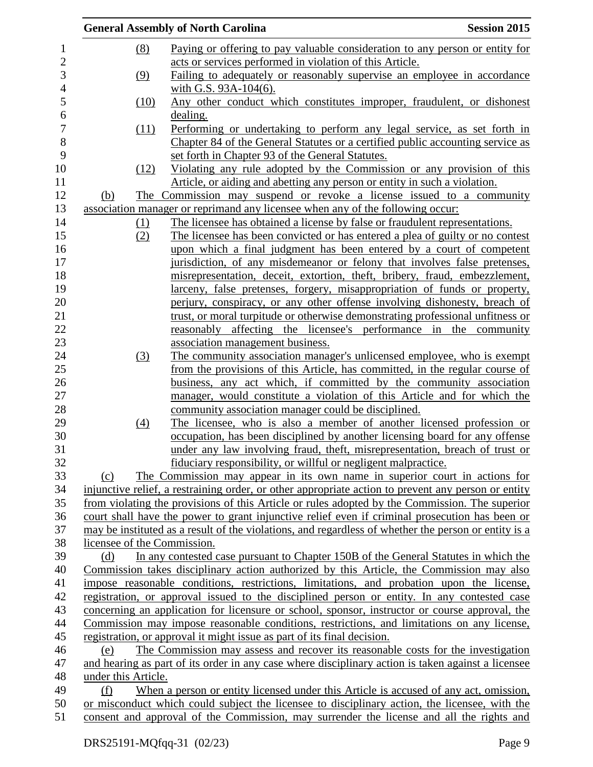|                     | <b>General Assembly of North Carolina</b>                                                            | <b>Session 2015</b> |
|---------------------|------------------------------------------------------------------------------------------------------|---------------------|
| (8)                 | Paying or offering to pay valuable consideration to any person or entity for                         |                     |
|                     | acts or services performed in violation of this Article.                                             |                     |
| (9)                 | Failing to adequately or reasonably supervise an employee in accordance                              |                     |
|                     | with G.S. 93A-104(6).                                                                                |                     |
| (10)                | Any other conduct which constitutes improper, fraudulent, or dishonest                               |                     |
|                     | dealing.                                                                                             |                     |
| (11)                | Performing or undertaking to perform any legal service, as set forth in                              |                     |
|                     | Chapter 84 of the General Statutes or a certified public accounting service as                       |                     |
|                     | set forth in Chapter 93 of the General Statutes.                                                     |                     |
|                     | Violating any rule adopted by the Commission or any provision of this                                |                     |
| (12)                |                                                                                                      |                     |
|                     | Article, or aiding and abetting any person or entity in such a violation.                            |                     |
| (b)                 | The Commission may suspend or revoke a license issued to a community                                 |                     |
|                     | association manager or reprimand any licensee when any of the following occur:                       |                     |
| $\Omega$            | The licensee has obtained a license by false or fraudulent representations.                          |                     |
| (2)                 | The licensee has been convicted or has entered a plea of guilty or no contest                        |                     |
|                     | upon which a final judgment has been entered by a court of competent                                 |                     |
|                     | jurisdiction, of any misdemeanor or felony that involves false pretenses,                            |                     |
|                     | misrepresentation, deceit, extortion, theft, bribery, fraud, embezzlement,                           |                     |
|                     | larceny, false pretenses, forgery, misappropriation of funds or property,                            |                     |
|                     | perjury, conspiracy, or any other offense involving dishonesty, breach of                            |                     |
|                     | trust, or moral turpitude or otherwise demonstrating professional unfitness or                       |                     |
|                     | reasonably affecting the licensee's performance in the community                                     |                     |
|                     | association management business.                                                                     |                     |
| (3)                 | The community association manager's unlicensed employee, who is exempt                               |                     |
|                     | from the provisions of this Article, has committed, in the regular course of                         |                     |
|                     | business, any act which, if committed by the community association                                   |                     |
|                     | manager, would constitute a violation of this Article and for which the                              |                     |
|                     | community association manager could be disciplined.                                                  |                     |
| (4)                 | The licensee, who is also a member of another licensed profession or                                 |                     |
|                     | occupation, has been disciplined by another licensing board for any offense                          |                     |
|                     | under any law involving fraud, theft, misrepresentation, breach of trust or                          |                     |
|                     | fiduciary responsibility, or willful or negligent malpractice.                                       |                     |
| (c)                 | The Commission may appear in its own name in superior court in actions for                           |                     |
|                     | injunctive relief, a restraining order, or other appropriate action to prevent any person or entity  |                     |
|                     | from violating the provisions of this Article or rules adopted by the Commission. The superior       |                     |
|                     | court shall have the power to grant injunctive relief even if criminal prosecution has been or       |                     |
|                     | may be instituted as a result of the violations, and regardless of whether the person or entity is a |                     |
|                     | licensee of the Commission.                                                                          |                     |
| (d)                 | In any contested case pursuant to Chapter 150B of the General Statutes in which the                  |                     |
|                     | Commission takes disciplinary action authorized by this Article, the Commission may also             |                     |
|                     | impose reasonable conditions, restrictions, limitations, and probation upon the license,             |                     |
|                     | registration, or approval issued to the disciplined person or entity. In any contested case          |                     |
|                     | concerning an application for licensure or school, sponsor, instructor or course approval, the       |                     |
|                     | Commission may impose reasonable conditions, restrictions, and limitations on any license,           |                     |
|                     | registration, or approval it might issue as part of its final decision.                              |                     |
| (e)                 | The Commission may assess and recover its reasonable costs for the investigation                     |                     |
|                     | and hearing as part of its order in any case where disciplinary action is taken against a licensee   |                     |
| under this Article. |                                                                                                      |                     |
| (f)                 | When a person or entity licensed under this Article is accused of any act, omission,                 |                     |
|                     | or misconduct which could subject the licensee to disciplinary action, the licensee, with the        |                     |
|                     | consent and approval of the Commission, may surrender the license and all the rights and             |                     |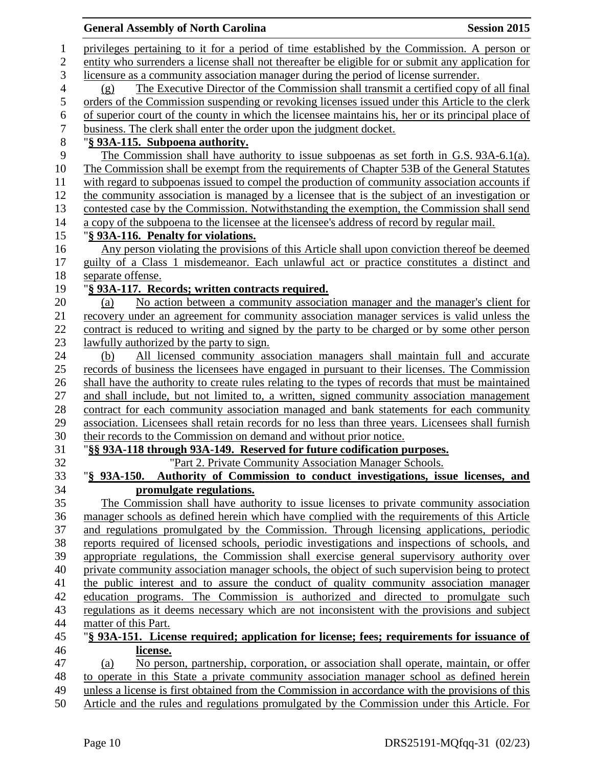## **General Assembly of North Carolina Session 2015**  privileges pertaining to it for a period of time established by the Commission. A person or entity who surrenders a license shall not thereafter be eligible for or submit any application for licensure as a community association manager during the period of license surrender. (g) The Executive Director of the Commission shall transmit a certified copy of all final orders of the Commission suspending or revoking licenses issued under this Article to the clerk 6 of superior court of the county in which the licensee maintains his, her or its principal place of business. The clerk shall enter the order upon the judgment docket. business. The clerk shall enter the order upon the judgment docket. "**§ 93A-115. Subpoena authority.** The Commission shall have authority to issue subpoenas as set forth in G.S. 93A-6.1(a). The Commission shall be exempt from the requirements of Chapter 53B of the General Statutes with regard to subpoenas issued to compel the production of community association accounts if the community association is managed by a licensee that is the subject of an investigation or contested case by the Commission. Notwithstanding the exemption, the Commission shall send a copy of the subpoena to the licensee at the licensee's address of record by regular mail. "**§ 93A-116. Penalty for violations.** Any person violating the provisions of this Article shall upon conviction thereof be deemed guilty of a Class 1 misdemeanor. Each unlawful act or practice constitutes a distinct and separate offense. "**§ 93A-117. Records; written contracts required.** (a) No action between a community association manager and the manager's client for recovery under an agreement for community association manager services is valid unless the contract is reduced to writing and signed by the party to be charged or by some other person 23 lawfully authorized by the party to sign. (b) All licensed community association managers shall maintain full and accurate records of business the licensees have engaged in pursuant to their licenses. The Commission shall have the authority to create rules relating to the types of records that must be maintained and shall include, but not limited to, a written, signed community association management contract for each community association managed and bank statements for each community association. Licensees shall retain records for no less than three years. Licensees shall furnish their records to the Commission on demand and without prior notice. "**§§ 93A-118 through 93A-149. Reserved for future codification purposes.** "Part 2. Private Community Association Manager Schools. "**§ 93A-150. Authority of Commission to conduct investigations, issue licenses, and promulgate regulations.** The Commission shall have authority to issue licenses to private community association manager schools as defined herein which have complied with the requirements of this Article and regulations promulgated by the Commission. Through licensing applications, periodic reports required of licensed schools, periodic investigations and inspections of schools, and appropriate regulations, the Commission shall exercise general supervisory authority over private community association manager schools, the object of such supervision being to protect the public interest and to assure the conduct of quality community association manager education programs. The Commission is authorized and directed to promulgate such regulations as it deems necessary which are not inconsistent with the provisions and subject matter of this Part. "**§ 93A-151. License required; application for license; fees; requirements for issuance of license.** (a) No person, partnership, corporation, or association shall operate, maintain, or offer to operate in this State a private community association manager school as defined herein unless a license is first obtained from the Commission in accordance with the provisions of this Article and the rules and regulations promulgated by the Commission under this Article. For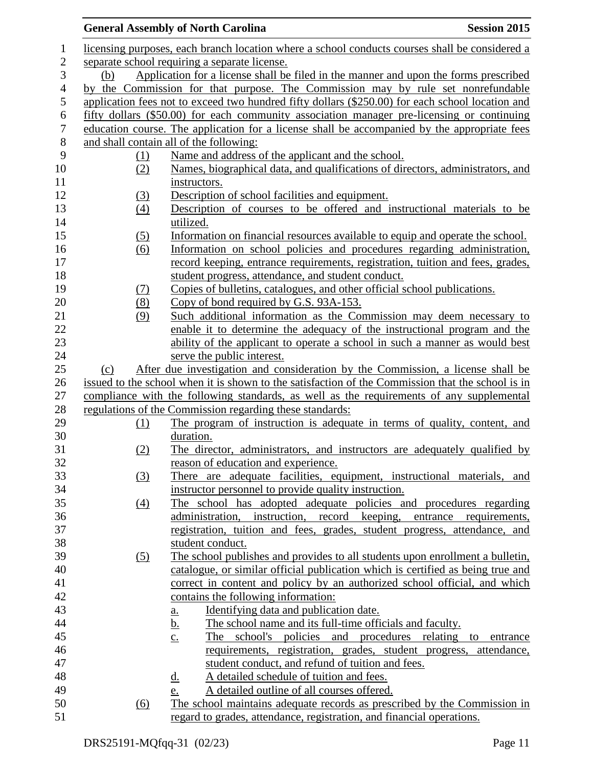|                  |                   | <b>General Assembly of North Carolina</b>                                                         | <b>Session 2015</b> |
|------------------|-------------------|---------------------------------------------------------------------------------------------------|---------------------|
| 1                |                   | licensing purposes, each branch location where a school conducts courses shall be considered a    |                     |
| $\mathbf{2}$     |                   | separate school requiring a separate license.                                                     |                     |
| 3                | (b)               | Application for a license shall be filed in the manner and upon the forms prescribed              |                     |
| $\overline{4}$   |                   | by the Commission for that purpose. The Commission may by rule set nonrefundable                  |                     |
| $\mathfrak{S}$   |                   | application fees not to exceed two hundred fifty dollars (\$250.00) for each school location and  |                     |
| $\sqrt{6}$       |                   | fifty dollars (\$50.00) for each community association manager pre-licensing or continuing        |                     |
| $\boldsymbol{7}$ |                   | education course. The application for a license shall be accompanied by the appropriate fees      |                     |
| $8\,$            |                   | and shall contain all of the following:                                                           |                     |
| 9                | (1)               | Name and address of the applicant and the school.                                                 |                     |
| 10               | (2)               | Names, biographical data, and qualifications of directors, administrators, and                    |                     |
| 11               |                   | instructors.                                                                                      |                     |
| 12               | (3)               | Description of school facilities and equipment.                                                   |                     |
| 13               | $\left(4\right)$  | Description of courses to be offered and instructional materials to be                            |                     |
| 14               |                   | utilized.                                                                                         |                     |
| 15               | (5)               | Information on financial resources available to equip and operate the school.                     |                     |
| 16               | $\underline{(6)}$ | Information on school policies and procedures regarding administration,                           |                     |
| 17               |                   | record keeping, entrance requirements, registration, tuition and fees, grades,                    |                     |
| 18               |                   | student progress, attendance, and student conduct.                                                |                     |
| 19               | (7)               | Copies of bulletins, catalogues, and other official school publications.                          |                     |
| 20               | (8)               | Copy of bond required by G.S. 93A-153.                                                            |                     |
| 21               | (9)               | Such additional information as the Commission may deem necessary to                               |                     |
| 22               |                   | enable it to determine the adequacy of the instructional program and the                          |                     |
| 23               |                   | ability of the applicant to operate a school in such a manner as would best                       |                     |
| 24               |                   | serve the public interest.                                                                        |                     |
| 25               | (c)               | After due investigation and consideration by the Commission, a license shall be                   |                     |
| 26               |                   | issued to the school when it is shown to the satisfaction of the Commission that the school is in |                     |
| 27               |                   | compliance with the following standards, as well as the requirements of any supplemental          |                     |
| 28               |                   | regulations of the Commission regarding these standards:                                          |                     |
| 29               | (1)               | The program of instruction is adequate in terms of quality, content, and                          |                     |
| 30               |                   | duration.                                                                                         |                     |
| 31               | (2)               | The director, administrators, and instructors are adequately qualified by                         |                     |
| 32               |                   | reason of education and experience.                                                               |                     |
| 33               | (3)               | There are adequate facilities, equipment, instructional materials, and                            |                     |
| 34               |                   | instructor personnel to provide quality instruction.                                              |                     |
| 35               | (4)               | The school has adopted adequate policies and procedures regarding                                 |                     |
| 36               |                   | instruction, record keeping, entrance requirements,<br>administration,                            |                     |
| 37               |                   | registration, tuition and fees, grades, student progress, attendance, and                         |                     |
| 38               |                   | student conduct.                                                                                  |                     |
| 39               | (5)               | The school publishes and provides to all students upon enrollment a bulletin,                     |                     |
| 40               |                   | catalogue, or similar official publication which is certified as being true and                   |                     |
| 41               |                   | correct in content and policy by an authorized school official, and which                         |                     |
| 42               |                   | contains the following information:                                                               |                     |
| 43               |                   | Identifying data and publication date.<br><u>a.</u>                                               |                     |
| 44               |                   | <u>b.</u><br>The school name and its full-time officials and faculty.                             |                     |
| 45               |                   | school's policies and procedures relating<br>The<br>$\underline{c}$ .                             | entrance<br>to      |
| 46               |                   | requirements, registration, grades, student progress, attendance,                                 |                     |
| 47               |                   | student conduct, and refund of tuition and fees.                                                  |                     |
| 48               |                   | A detailed schedule of tuition and fees.<br><u>d.</u>                                             |                     |
| 49               |                   | A detailed outline of all courses offered.<br>e.                                                  |                     |
| 50               | <u>(6)</u>        | The school maintains adequate records as prescribed by the Commission in                          |                     |
| 51               |                   | regard to grades, attendance, registration, and financial operations.                             |                     |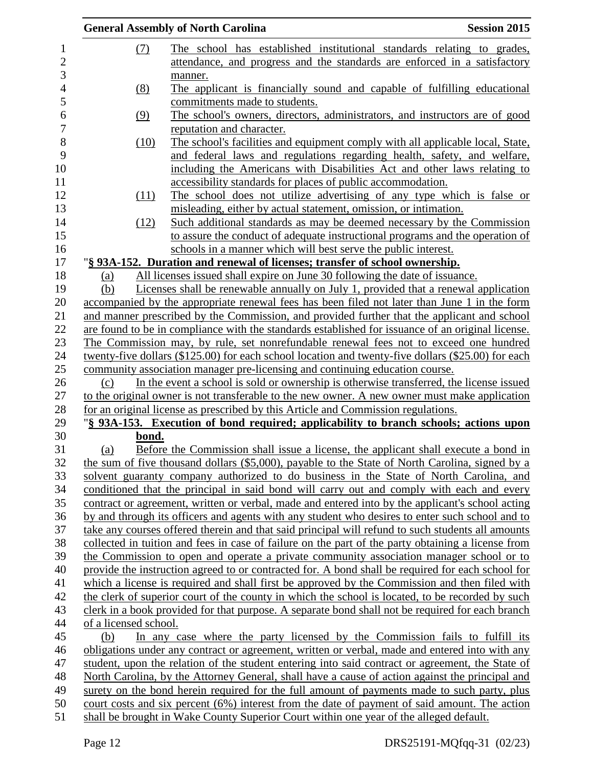|                       | <b>General Assembly of North Carolina</b>                                                                                                                               | <b>Session 2015</b> |
|-----------------------|-------------------------------------------------------------------------------------------------------------------------------------------------------------------------|---------------------|
| (7)                   | The school has established institutional standards relating to grades,                                                                                                  |                     |
|                       | attendance, and progress and the standards are enforced in a satisfactory                                                                                               |                     |
|                       | manner.                                                                                                                                                                 |                     |
| (8)                   | The applicant is financially sound and capable of fulfilling educational                                                                                                |                     |
|                       | commitments made to students.                                                                                                                                           |                     |
| (9)                   | The school's owners, directors, administrators, and instructors are of good                                                                                             |                     |
|                       | reputation and character.                                                                                                                                               |                     |
| (10)                  | The school's facilities and equipment comply with all applicable local, State,                                                                                          |                     |
|                       | and federal laws and regulations regarding health, safety, and welfare,                                                                                                 |                     |
|                       | including the Americans with Disabilities Act and other laws relating to                                                                                                |                     |
|                       | accessibility standards for places of public accommodation.                                                                                                             |                     |
| (11)                  | The school does not utilize advertising of any type which is false or                                                                                                   |                     |
|                       | misleading, either by actual statement, omission, or intimation.                                                                                                        |                     |
| (12)                  | Such additional standards as may be deemed necessary by the Commission                                                                                                  |                     |
|                       | to assure the conduct of adequate instructional programs and the operation of                                                                                           |                     |
|                       | schools in a manner which will best serve the public interest.                                                                                                          |                     |
|                       | "§ 93A-152. Duration and renewal of licenses; transfer of school ownership.                                                                                             |                     |
| (a)                   | All licenses issued shall expire on June 30 following the date of issuance.                                                                                             |                     |
| (b)                   | Licenses shall be renewable annually on July 1, provided that a renewal application                                                                                     |                     |
|                       | accompanied by the appropriate renewal fees has been filed not later than June 1 in the form                                                                            |                     |
|                       | and manner prescribed by the Commission, and provided further that the applicant and school                                                                             |                     |
|                       | are found to be in compliance with the standards established for issuance of an original license.                                                                       |                     |
|                       | The Commission may, by rule, set nonrefundable renewal fees not to exceed one hundred                                                                                   |                     |
|                       | twenty-five dollars (\$125.00) for each school location and twenty-five dollars (\$25.00) for each                                                                      |                     |
| (c)                   | community association manager pre-licensing and continuing education course.<br>In the event a school is sold or ownership is otherwise transferred, the license issued |                     |
|                       | to the original owner is not transferable to the new owner. A new owner must make application                                                                           |                     |
|                       | for an original license as prescribed by this Article and Commission regulations.                                                                                       |                     |
|                       | "§ 93A-153. Execution of bond required; applicability to branch schools; actions upon                                                                                   |                     |
| bond.                 |                                                                                                                                                                         |                     |
| (a)                   | Before the Commission shall issue a license, the applicant shall execute a bond in                                                                                      |                     |
|                       | the sum of five thousand dollars (\$5,000), payable to the State of North Carolina, signed by a                                                                         |                     |
|                       | solvent guaranty company authorized to do business in the State of North Carolina, and                                                                                  |                     |
|                       | conditioned that the principal in said bond will carry out and comply with each and every                                                                               |                     |
|                       | contract or agreement, written or verbal, made and entered into by the applicant's school acting                                                                        |                     |
|                       | by and through its officers and agents with any student who desires to enter such school and to                                                                         |                     |
|                       | take any courses offered therein and that said principal will refund to such students all amounts                                                                       |                     |
|                       | collected in tuition and fees in case of failure on the part of the party obtaining a license from                                                                      |                     |
|                       | the Commission to open and operate a private community association manager school or to                                                                                 |                     |
|                       | provide the instruction agreed to or contracted for. A bond shall be required for each school for                                                                       |                     |
|                       | which a license is required and shall first be approved by the Commission and then filed with                                                                           |                     |
|                       | the clerk of superior court of the county in which the school is located, to be recorded by such                                                                        |                     |
|                       | clerk in a book provided for that purpose. A separate bond shall not be required for each branch                                                                        |                     |
| of a licensed school. |                                                                                                                                                                         |                     |
| (b)                   | In any case where the party licensed by the Commission fails to fulfill its                                                                                             |                     |
|                       | obligations under any contract or agreement, written or verbal, made and entered into with any                                                                          |                     |
|                       | student, upon the relation of the student entering into said contract or agreement, the State of                                                                        |                     |
|                       | North Carolina, by the Attorney General, shall have a cause of action against the principal and                                                                         |                     |
|                       | surety on the bond herein required for the full amount of payments made to such party, plus                                                                             |                     |
|                       | court costs and six percent (6%) interest from the date of payment of said amount. The action                                                                           |                     |
|                       | shall be brought in Wake County Superior Court within one year of the alleged default.                                                                                  |                     |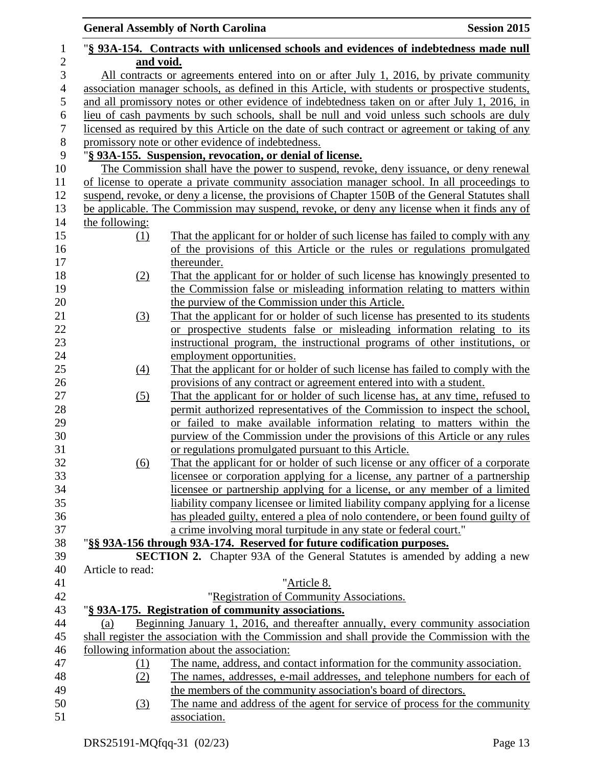|                   | <b>General Assembly of North Carolina</b><br><b>Session 2015</b>                                                                             |
|-------------------|----------------------------------------------------------------------------------------------------------------------------------------------|
|                   | "§ 93A-154. Contracts with unlicensed schools and evidences of indebtedness made null                                                        |
| and void.         |                                                                                                                                              |
|                   | All contracts or agreements entered into on or after July 1, 2016, by private community                                                      |
|                   | association manager schools, as defined in this Article, with students or prospective students,                                              |
|                   | and all promissory notes or other evidence of indebtedness taken on or after July 1, 2016, in                                                |
|                   | lieu of cash payments by such schools, shall be null and void unless such schools are duly                                                   |
|                   | licensed as required by this Article on the date of such contract or agreement or taking of any                                              |
|                   | promissory note or other evidence of indebtedness.                                                                                           |
|                   | "§ 93A-155. Suspension, revocation, or denial of license.                                                                                    |
|                   | The Commission shall have the power to suspend, revoke, deny issuance, or deny renewal                                                       |
|                   | of license to operate a private community association manager school. In all proceedings to                                                  |
|                   | suspend, revoke, or deny a license, the provisions of Chapter 150B of the General Statutes shall                                             |
|                   | be applicable. The Commission may suspend, revoke, or deny any license when it finds any of                                                  |
| the following:    |                                                                                                                                              |
| (1)               | That the applicant for or holder of such license has failed to comply with any                                                               |
|                   | of the provisions of this Article or the rules or regulations promulgated                                                                    |
|                   | thereunder.                                                                                                                                  |
| (2)               | That the applicant for or holder of such license has knowingly presented to                                                                  |
|                   | the Commission false or misleading information relating to matters within                                                                    |
|                   | the purview of the Commission under this Article.                                                                                            |
| (3)               | That the applicant for or holder of such license has presented to its students                                                               |
|                   | or prospective students false or misleading information relating to its                                                                      |
|                   | instructional program, the instructional programs of other institutions, or                                                                  |
|                   | employment opportunities.                                                                                                                    |
| (4)               | That the applicant for or holder of such license has failed to comply with the                                                               |
|                   | provisions of any contract or agreement entered into with a student.                                                                         |
| (5)               | That the applicant for or holder of such license has, at any time, refused to                                                                |
|                   | permit authorized representatives of the Commission to inspect the school,                                                                   |
|                   | or failed to make available information relating to matters within the                                                                       |
|                   | purview of the Commission under the provisions of this Article or any rules                                                                  |
|                   | or regulations promulgated pursuant to this Article.                                                                                         |
| $\underline{(6)}$ | That the applicant for or holder of such license or any officer of a corporate                                                               |
|                   | licensee or corporation applying for a license, any partner of a partnership                                                                 |
|                   | licensee or partnership applying for a license, or any member of a limited                                                                   |
|                   | liability company licensee or limited liability company applying for a license                                                               |
|                   | has pleaded guilty, entered a plea of nolo contendere, or been found guilty of                                                               |
|                   | a crime involving moral turpitude in any state or federal court."                                                                            |
|                   | "§§ 93A-156 through 93A-174. Reserved for future codification purposes.                                                                      |
|                   | <b>SECTION 2.</b> Chapter 93A of the General Statutes is amended by adding a new                                                             |
| Article to read:  |                                                                                                                                              |
|                   | "Article 8.                                                                                                                                  |
|                   | "Registration of Community Associations.                                                                                                     |
|                   | "§ 93A-175. Registration of community associations.                                                                                          |
| (a)               | Beginning January 1, 2016, and thereafter annually, every community association                                                              |
|                   | shall register the association with the Commission and shall provide the Commission with the                                                 |
|                   | following information about the association:                                                                                                 |
| $\Omega$          | The name, address, and contact information for the community association.                                                                    |
| (2)               | The names, addresses, e-mail addresses, and telephone numbers for each of                                                                    |
|                   | the members of the community association's board of directors.<br>The name and address of the agent for service of process for the community |
| $\left(3\right)$  | association.                                                                                                                                 |
|                   |                                                                                                                                              |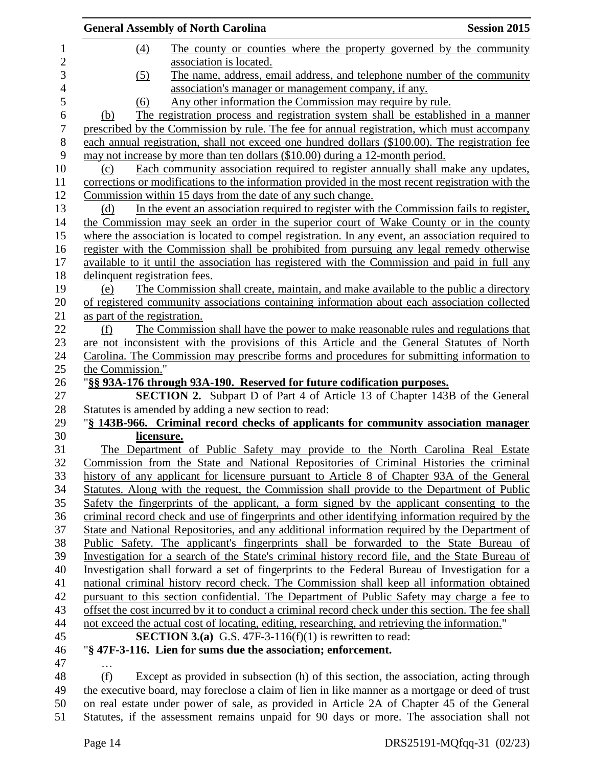|                | <b>General Assembly of North Carolina</b>                                                           | <b>Session 2015</b> |
|----------------|-----------------------------------------------------------------------------------------------------|---------------------|
| $\mathbf{1}$   | (4)<br>The county or counties where the property governed by the community                          |                     |
| $\overline{c}$ | association is located.                                                                             |                     |
| 3              | The name, address, email address, and telephone number of the community<br>(5)                      |                     |
| $\overline{4}$ | association's manager or management company, if any.                                                |                     |
| 5              | Any other information the Commission may require by rule.<br>(6)                                    |                     |
| 6              | The registration process and registration system shall be established in a manner<br>(b)            |                     |
| 7              | prescribed by the Commission by rule. The fee for annual registration, which must accompany         |                     |
| 8              | each annual registration, shall not exceed one hundred dollars (\$100.00). The registration fee     |                     |
| 9              | may not increase by more than ten dollars (\$10.00) during a 12-month period.                       |                     |
| 10             | Each community association required to register annually shall make any updates,<br>(c)             |                     |
| 11             | corrections or modifications to the information provided in the most recent registration with the   |                     |
| 12             | Commission within 15 days from the date of any such change.                                         |                     |
| 13             | In the event an association required to register with the Commission fails to register,<br>(d)      |                     |
| 14             | the Commission may seek an order in the superior court of Wake County or in the county              |                     |
| 15             | where the association is located to compel registration. In any event, an association required to   |                     |
| 16             | register with the Commission shall be prohibited from pursuing any legal remedy otherwise           |                     |
| 17             | available to it until the association has registered with the Commission and paid in full any       |                     |
| 18             | delinquent registration fees.                                                                       |                     |
| 19             | The Commission shall create, maintain, and make available to the public a directory<br>(e)          |                     |
| 20             | of registered community associations containing information about each association collected        |                     |
| 21             | as part of the registration.                                                                        |                     |
| 22             | The Commission shall have the power to make reasonable rules and regulations that<br>(f)            |                     |
| 23             | are not inconsistent with the provisions of this Article and the General Statutes of North          |                     |
| 24             | Carolina. The Commission may prescribe forms and procedures for submitting information to           |                     |
| 25             | the Commission."                                                                                    |                     |
| 26             | "§§ 93A-176 through 93A-190. Reserved for future codification purposes.                             |                     |
| 27             | <b>SECTION 2.</b> Subpart D of Part 4 of Article 13 of Chapter 143B of the General                  |                     |
| 28             | Statutes is amended by adding a new section to read:                                                |                     |
| 29             | "§ 143B-966. Criminal record checks of applicants for community association manager                 |                     |
| 30             | licensure.                                                                                          |                     |
| 31             | The Department of Public Safety may provide to the North Carolina Real Estate                       |                     |
| 32             | Commission from the State and National Repositories of Criminal Histories the criminal              |                     |
| 33             | history of any applicant for licensure pursuant to Article 8 of Chapter 93A of the General          |                     |
| 34             | Statutes. Along with the request, the Commission shall provide to the Department of Public          |                     |
| 35             | Safety the fingerprints of the applicant, a form signed by the applicant consenting to the          |                     |
| 36             | criminal record check and use of fingerprints and other identifying information required by the     |                     |
| 37             | State and National Repositories, and any additional information required by the Department of       |                     |
| 38             | <u>Public Safety. The applicant's fingerprints shall be forwarded to the State Bureau of</u>        |                     |
| 39             | Investigation for a search of the State's criminal history record file, and the State Bureau of     |                     |
| 40             | Investigation shall forward a set of fingerprints to the Federal Bureau of Investigation for a      |                     |
| 41             | national criminal history record check. The Commission shall keep all information obtained          |                     |
| 42             | pursuant to this section confidential. The Department of Public Safety may charge a fee to          |                     |
| 43             | offset the cost incurred by it to conduct a criminal record check under this section. The fee shall |                     |
| 44             | not exceed the actual cost of locating, editing, researching, and retrieving the information."      |                     |
| 45             | <b>SECTION 3.(a)</b> G.S. 47F-3-116(f)(1) is rewritten to read:                                     |                     |
| 46             | "§ 47F-3-116. Lien for sums due the association; enforcement.                                       |                     |
| 47             | .                                                                                                   |                     |
| 48             | (f)<br>Except as provided in subsection (h) of this section, the association, acting through        |                     |
| 49             | the executive board, may foreclose a claim of lien in like manner as a mortgage or deed of trust    |                     |
| 50             | on real estate under power of sale, as provided in Article 2A of Chapter 45 of the General          |                     |
| 51             | Statutes, if the assessment remains unpaid for 90 days or more. The association shall not           |                     |